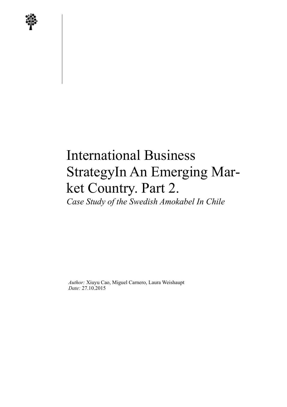

# International Business StrategyIn An Emerging Market Country. Part 2. *Case Study of the Swedish Amokabel In Chile*

*Author:* Xiuyu Cao, Miguel Carnero, Laura Weishaupt *Date:* 27.10.2015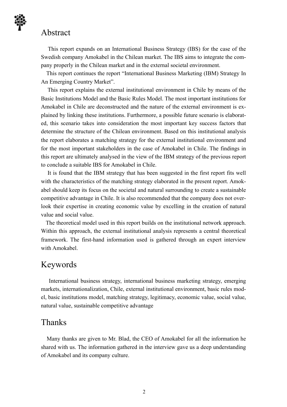### Abstract

 This report expands on an International Business Strategy (IBS) for the case of the Swedish company Amokabel in the Chilean market. The IBS aims to integrate the company properly in the Chilean market and in the external societal environment.

 This report continues the report "International Business Marketing (IBM) Strategy In An Emerging Country Market".

 This report explains the external institutional environment in Chile by means of the Basic Institutions Model and the Basic Rules Model. The most important institutions for Amokabel in Chile are deconstructed and the nature of the external environment is explained by linking these institutions. Furthermore, a possible future scenario is elaborated, this scenario takes into consideration the most important key success factors that determine the structure of the Chilean environment. Based on this institutional analysis the report elaborates a matching strategy for the external institutional environment and for the most important stakeholders in the case of Amokabel in Chile. The findings in this report are ultimately analysed in the view of the IBM strategy of the previous report to conclude a suitable IBS for Amokabel in Chile.

 It is found that the IBM strategy that has been suggested in the first report fits well with the characteristics of the matching strategy elaborated in the present report. Amokabel should keep its focus on the societal and natural surrounding to create a sustainable competitive advantage in Chile. It is also recommended that the company does not overlook their expertise in creating economic value by excelling in the creation of natural value and social value.

 The theoretical model used in this report builds on the institutional network approach. Within this approach, the external institutional analysis represents a central theoretical framework. The first-hand information used is gathered through an expert interview with Amokabel.

## Keywords

 International business strategy, international business marketing strategy, emerging markets, internationalization, Chile, external institutional environment, basic rules model, basic institutions model, matching strategy, legitimacy, economic value, social value, natural value, sustainable competitive advantage

### Thanks

 Many thanks are given to Mr. Blad, the CEO of Amokabel for all the information he shared with us. The information gathered in the interview gave us a deep understanding of Amokabel and its company culture.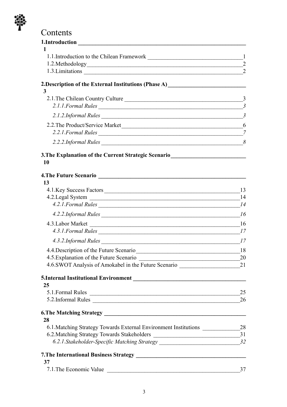

# Contents

| 1.Introduction                                                                                                                            |                                  |
|-------------------------------------------------------------------------------------------------------------------------------------------|----------------------------------|
|                                                                                                                                           |                                  |
| 1.1.Introduction to the Chilean Framework 1.1.1.Introduction to the Chilean Framework                                                     |                                  |
|                                                                                                                                           | $\overline{2}$<br>$\overline{2}$ |
| 1.3. Limitations _                                                                                                                        |                                  |
| 2. Description of the External Institutions (Phase A)<br><u>Letting and the state of the Sternal Institutions</u> (Phase A)               |                                  |
| 3                                                                                                                                         |                                  |
| 2.1. The Chilean Country Culture                                                                                                          | $\overline{3}$                   |
| 2.1.1. Formal Rules                                                                                                                       | $\mathfrak{Z}$                   |
| 2.1.2.Informal Rules                                                                                                                      | $\overline{3}$                   |
| 2.2. The Product/Service Market                                                                                                           | 6                                |
| 2.2.1. Formal Rules                                                                                                                       | 7                                |
| $2.2.2.1$ nformal Rules $\frac{8}{5.2.2}$                                                                                                 |                                  |
| 3. The Explanation of the Current Strategic Scenario<br><u>Letting</u>                                                                    |                                  |
| <b>10</b>                                                                                                                                 |                                  |
|                                                                                                                                           |                                  |
| 4. The Future Scenario                                                                                                                    |                                  |
| 13                                                                                                                                        |                                  |
|                                                                                                                                           | 13                               |
| 4.2.1. Formal Rules                                                                                                                       | 14                               |
|                                                                                                                                           |                                  |
| 4.3. Labor Market                                                                                                                         | 16                               |
| 4.3.1. Formal Rules                                                                                                                       | 17                               |
|                                                                                                                                           |                                  |
| 4.4. Description of the Future Scenario                                                                                                   | 18                               |
| 4.5. Explanation of the Future Scenario                                                                                                   | 20                               |
| 4.6.SWOT Analysis of Amokabel in the Future Scenario                                                                                      | 21                               |
|                                                                                                                                           |                                  |
| 25                                                                                                                                        |                                  |
| 5.1. Formal Rules<br><u> Alexandria de la contrada de la contrada de la contrada de la contrada de la contrada de la contrada de la c</u> | 25                               |
| 5.2.Informal Rules                                                                                                                        | 26                               |
|                                                                                                                                           |                                  |
| 28                                                                                                                                        |                                  |
| 6.1. Matching Strategy Towards External Environment Institutions ________________28                                                       |                                  |
|                                                                                                                                           |                                  |
| 6.2.1. Stakeholder-Specific Matching Strategy __________________________________32                                                        |                                  |
|                                                                                                                                           |                                  |
| 37                                                                                                                                        |                                  |
| 7.1. The Economic Value<br><u> 1989 - Johann Barnett, fransk politiker (d. 1989)</u>                                                      | 37                               |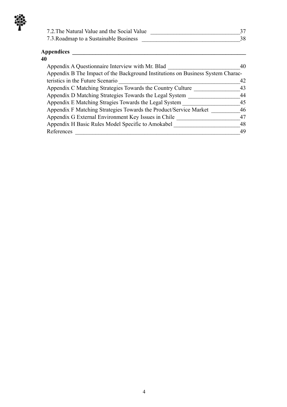| 7.2. The Natural Value and the Social Value |  |
|---------------------------------------------|--|
| 7.3. Roadmap to a Sustainable Business      |  |

#### **Appendices \_\_\_\_\_\_\_\_\_\_\_\_\_\_\_\_\_\_\_\_\_\_\_\_\_\_\_\_\_\_\_\_\_\_\_\_\_\_\_\_\_\_\_\_\_\_\_\_\_\_\_\_\_\_\_\_\_\_\_\_**

| 40                                                                              |    |
|---------------------------------------------------------------------------------|----|
| Appendix A Questionnaire Interview with Mr. Blad                                | 40 |
| Appendix B The Impact of the Background Institutions on Business System Charac- |    |
| teristics in the Future Scenario                                                | 42 |
| Appendix C Matching Strategies Towards the Country Culture                      | 43 |
| Appendix D Matching Strategies Towards the Legal System                         | 44 |
| Appendix E Matching Stragies Towards the Legal System                           | 45 |
| Appendix F Matching Strategies Towards the Product/Service Market               | 46 |
| Appendix G External Environment Key Issues in Chile                             | 47 |
| Appendix H Basic Rules Model Specific to Amokabel                               | 48 |
| References                                                                      | 49 |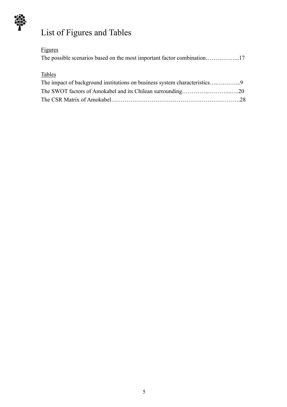

# List of Figures and Tables

# Figures

# Tables

| The impact of background institutions on business system characteristics9 |  |
|---------------------------------------------------------------------------|--|
|                                                                           |  |
|                                                                           |  |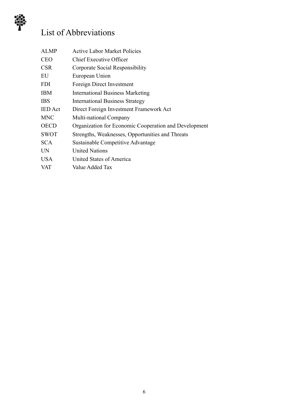

# List of Abbreviations

| <b>ALMP</b>    | <b>Active Labor Market Policies</b>                   |
|----------------|-------------------------------------------------------|
| <b>CEO</b>     | <b>Chief Executive Officer</b>                        |
| <b>CSR</b>     | Corporate Social Responsibility                       |
| EU             | European Union                                        |
| <b>FDI</b>     | Foreign Direct Investment                             |
| <b>IBM</b>     | <b>International Business Marketing</b>               |
| <b>IBS</b>     | <b>International Business Strategy</b>                |
| <b>IED</b> Act | Direct Foreign Investment Framework Act               |
| <b>MNC</b>     | Multi-national Company                                |
| <b>OECD</b>    | Organization for Economic Cooperation and Development |
| <b>SWOT</b>    | Strengths, Weaknesses, Opportunities and Threats      |
| <b>SCA</b>     | Sustainable Competitive Advantage                     |
| <b>UN</b>      | <b>United Nations</b>                                 |
| <b>USA</b>     | United States of America                              |
| <b>VAT</b>     | Value Added Tax                                       |
|                |                                                       |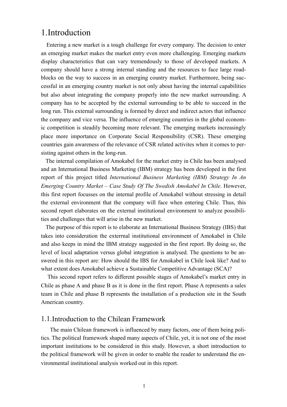# 1.Introduction

 Entering a new market is a tough challenge for every company. The decision to enter an emerging market makes the market entry even more challenging. Emerging markets display characteristics that can vary tremendously to those of developed markets. A company should have a strong internal standing and the resources to face large roadblocks on the way to success in an emerging country market. Furthermore, being successful in an emerging country market is not only about having the internal capabilities but also about integrating the company properly into the new market surrounding. A company has to be accepted by the external surrounding to be able to succeed in the long run. This external surrounding is formed by direct and indirect actors that influence the company and vice versa. The influence of emerging countries in the global economic competition is steadily becoming more relevant. The emerging markets increasingly place more importance on Corporate Social Responsibility (CSR). These emerging countries gain awareness of the relevance of CSR related activites when it comes to persisting against others in the long-run.

 The internal compilation of Amokabel for the market entry in Chile has been analysed and an International Business Marketing (IBM) strategy has been developed in the first report of this project titled *International Business Marketing (IBM) Strategy In An Emerging Country Market – Case Study Of The Swedish Amokabel In Chile*. However, this first report focusses on the internal profile of Amokabel without stressing in detail the external environment that the company will face when entering Chile. Thus, this second report elaborates on the external institutional environment to analyze possibilities and challenges that will arise in the new market.

 The purpose of this report is to elaborate an International Business Strategy (IBS) that takes into consideration the exterrnal institutional environment of Amokabel in Chile and also keeps in mind the IBM strategy suggested in the first report. By doing so, the level of local adaptation versus global integration is analysed. The questions to be answered in this report are: How should the IBS for Amokabel in Chile look like? And to what extent does Amokabel achieve a Sustainable Competitive Advantage (SCA)?

 This second report refers to different possible stages of Amokabel's market entry in Chile as phase A and phase B as it is done in the first report. Phase A represents a sales team in Chile and phase B represents the installation of a production site in the South American country.

#### 1.1.Introduction to the Chilean Framework

 The main Chilean framework is influenced by many factors, one of them being politics. The political framework shaped many aspects of Chile, yet, it is not one of the most important institutions to be considered in this study. However, a short introduction to the political framework will be given in order to enable the reader to understand the environmental institutional analysis worked out in this report.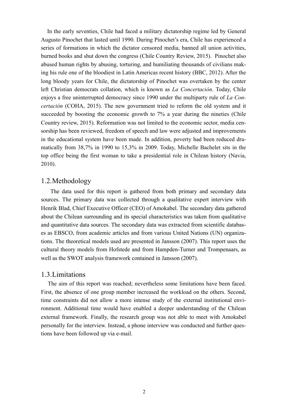In the early seventies, Chile had faced a military dictatorship regime led by General Augusto Pinochet that lasted until 1990. During Pinochet's era, Chile has experienced a series of formations in which the dictator censored media, banned all union activities, burned books and shut down the congress (Chile Country Review, 2015). Pinochet also abused human rights by abusing, torturing, and humiliating thousands of civilians making his rule one of the bloodiest in Latin Americas recent history (BBC, 2012). After the long bloody years for Chile, the dictatorship of Pinochet was overtaken by the center left Christian democrats collation, which is known as *La Concertación*. Today, Chile enjoys a free uninterrupted democracy since 1990 under the multiparty rule of *La Concertación* (COHA, 2015). The new government tried to reform the old system and it succeeded by boosting the economic growth to 7% a year during the nineties (Chile Country review, 2015). Reformation was not limited to the economic sector, media censorship has been reviewed, freedom of speech and law were adjusted and improvements in the educational system have been made. In addition, poverty had been reduced dramatically from 38,7% in 1990 to 15,3% in 2009. Today, Michelle Bachelet sits in the top office being the first woman to take a presidential role in Chilean history (Navia, 2010).

#### 1.2.Methodology

 The data used for this report is gathered from both primary and secondary data sources. The primary data was collected through a qualitative expert interview with Henrik Blad, Chief Executive Officer (CEO) of Amokabel. The secondary data gathered about the Chilean surrounding and its special characteristics was taken from qualitative and quantitative data sources. The secondary data was extracted from scientific databases as EBSCO, from academic articles and from various United Nations (UN) organizations. The theoretical models used are presented in Jansson (2007). This report uses the cultural theory models from Hofstede and from Hampden-Turner and Trompenaars, as well as the SWOT analysis framework contained in Jansson (2007).

#### 1.3.Limitations

 The aim of this report was reached; nevertheless some limitations have been faced. First, the absence of one group member increased the workload on the others. Second, time constraints did not allow a more intense study of the external institutional environment. Additional time would have enabled a deeper understanding of the Chilean external framework. Finally, the research group was not able to meet with Amokabel personally for the interview. Instead, a phone interview was conducted and further questions have been followed up via e-mail.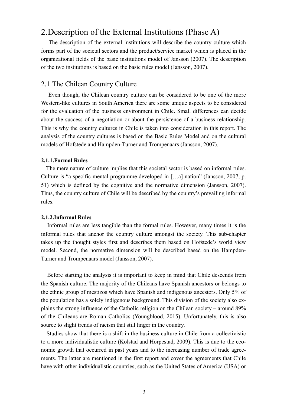# 2.Description of the External Institutions (Phase A)

 The description of the external institutions will describe the country culture which forms part of the societal sectors and the product/service market which is placed in the organizational fields of the basic institutions model of Jansson (2007). The description of the two institutions is based on the basic rules model (Jansson, 2007).

#### 2.1.The Chilean Country Culture

 Even though, the Chilean country culture can be considered to be one of the more Western-like cultures in South America there are some unique aspects to be considered for the evaluation of the business environment in Chile. Small differences can decide about the success of a negotiation or about the persistence of a business relationship. This is why the country cultures in Chile is taken into consideration in this report. The analysis of the country cultures is based on the Basic Rules Model and on the cultural models of Hofstede and Hampden-Turner and Trompenaars (Jansson, 2007).

#### **2.1.1.Formal Rules**

 The mere nature of culture implies that this societal sector is based on informal rules. Culture is "a specific mental programme developed in […a] nation" (Jansson, 2007, p. 51) which is defined by the cognitive and the normative dimension (Jansson, 2007). Thus, the country culture of Chile will be described by the country's prevailing informal rules.

#### **2.1.2.Informal Rules**

 Informal rules are less tangible than the formal rules. However, many times it is the informal rules that anchor the country culture amongst the society. This sub-chapter takes up the thought styles first and describes them based on Hofstede's world view model. Second, the normative dimension will be described based on the Hampden-Turner and Trompenaars model (Jansson, 2007).

 Before starting the analysis it is important to keep in mind that Chile descends from the Spanish culture. The majority of the Chileans have Spanish ancestors or belongs to the ethnic group of mestizos which have Spanish and indigenous ancestors. Only 5% of the population has a solely indigenous background. This division of the society also explains the strong influence of the Catholic religion on the Chilean society – around 89% of the Chileans are Roman Catholics (Youngblood, 2015). Unfortunately, this is also source to slight trends of racism that still linger in the country.

 Studies show that there is a shift in the business culture in Chile from a collectivistic to a more individualistic culture (Kolstad and Horpestad, 2009). This is due to the economic growth that occurred in past years and to the increasing number of trade agreements. The latter are mentioned in the first report and cover the agreements that Chile have with other individualistic countries, such as the United States of America (USA) or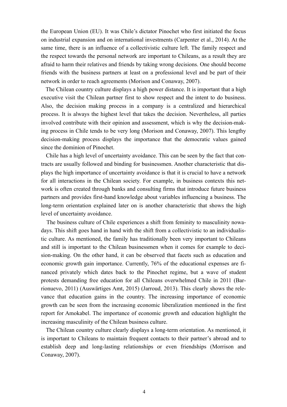the European Union (EU). It was Chile's dictator Pinochet who first initiated the focus on industrial expansion and on international investments (Carpenter et al., 2014). At the same time, there is an influence of a collectivistic culture left. The family respect and the respect towards the personal network are important to Chileans, as a result they are afraid to harm their relatives and friends by taking wrong decisions. One should become friends with the business partners at least on a professional level and be part of their network in order to reach agreements (Morison and Conaway, 2007).

 The Chilean country culture displays a high power distance. It is important that a high executive visit the Chilean partner first to show respect and the intent to do business. Also, the decision making process in a company is a centralized and hierarchical process. It is always the highest level that takes the decision. Nevertheless, all parties involved contribute with their opinion and assessment, which is why the decision-making process in Chile tends to be very long (Morison and Conaway, 2007). This lengthy decision-making process displays the importance that the democratic values gained since the dominion of Pinochet.

 Chile has a high level of uncertainty avoidance. This can be seen by the fact that contracts are usually followed and binding for businessmen. Another characteristic that displays the high importance of uncertainty avoidance is that it is crucial to have a network for all interactions in the Chilean society. For example, in business contexts this network is often created through banks and consulting firms that introduce future business partners and provides first-hand knowledge about variables influencing a business. The long-term orientation explained later on is another characteristic that shows the high level of uncertainty avoidance.

 The business culture of Chile experiences a shift from feminity to masculinity nowadays. This shift goes hand in hand with the shift from a collectivistic to an individualistic culture. As mentioned, the family has traditionally been very important to Chileans and still is important to the Chilean businessmen when it comes for example to decision-making. On the other hand, it can be observed that facets such as education and economic growth gain importance. Currently, 76% of the educational expenses are financed privately which dates back to the Pinochet regime, but a wave of student protests demanding free education for all Chileans overwhelmed Chile in 2011 (Barrionuevo, 2011) (Auswärtiges Amt, 2015) (Jarroud, 2013). This clearly shows the relevance that education gains in the country. The increasing importance of economic growth can be seen from the increasing economic liberalization mentioned in the first report for Amokabel. The importance of economic growth and education highlight the increasing masculinity of the Chilean business culture.

 The Chilean country culture clearly displays a long-term orientation. As mentioned, it is important to Chileans to maintain frequent contacts to their partner's abroad and to establish deep and long-lasting relationships or even friendships (Morrison and Conaway, 2007).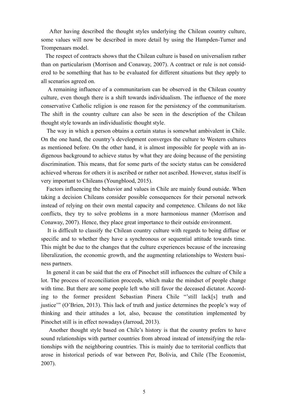After having described the thought styles underlying the Chilean country culture, some values will now be described in more detail by using the Hampden-Turner and Trompenaars model.

 The respect of contracts shows that the Chilean culture is based on universalism rather than on particularism (Morrison and Conaway, 2007). A contract or rule is not considered to be something that has to be evaluated for different situations but they apply to all scenarios agreed on.

 A remaining influence of a communitarism can be observed in the Chilean country culture, even though there is a shift towards individualism. The influence of the more conservative Catholic religion is one reason for the persistency of the communitarism. The shift in the country culture can also be seen in the description of the Chilean thought style towards an individualistic thought style.

 The way in which a person obtains a certain status is somewhat ambivalent in Chile. On the one hand, the country's development converges the culture to Western cultures as mentioned before. On the other hand, it is almost impossible for people with an indigenous background to achieve status by what they are doing because of the persisting discrimination. This means, that for some parts of the society status can be considered achieved whereas for others it is ascribed or rather not ascribed. However, status itself is very important to Chileans (Youngblood, 2015).

 Factors influencing the behavior and values in Chile are mainly found outside. When taking a decision Chileans consider possible consequences for their personal network instead of relying on their own mental capacity and competence. Chileans do not like conflicts, they try to solve problems in a more harmonious manner (Morrison and Conaway, 2007). Hence, they place great importance to their outside environment.

 It is difficult to classify the Chilean country culture with regards to being diffuse or specific and to whether they have a synchronous or sequential attitude towards time. This might be due to the changes that the culture experiences because of the increasing liberalization, the economic growth, and the augmenting relationships to Western business partners.

 In general it can be said that the era of Pinochet still influences the culture of Chile a lot. The process of reconciliation proceeds, which make the mindset of people change with time. But there are some people left who still favor the deceased dictator. According to the former president Sebastian Pinera Chile "'still lack[s] truth and justice'" (O'Brien, 2013). This lack of truth and justice determines the people's way of thinking and their attitudes a lot, also, because the constitution implemented by Pinochet still is in effect nowadays (Jarroud, 2013).

 Another thought style based on Chile's history is that the country prefers to have sound relationships with partner countries from abroad instead of intensifying the relationships with the neighboring countries. This is mainly due to territorial conflicts that arose in historical periods of war between Per, Bolivia, and Chile (The Economist, 2007).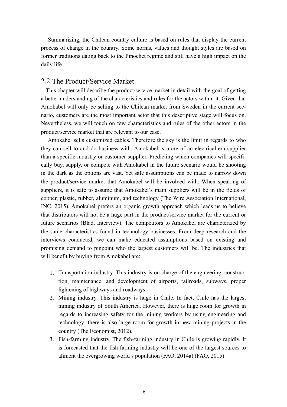Summarizing, the Chilean country culture is based on rules that display the current process of change in the country. Some norms, values and thought styles are based on former traditions dating back to the Pinochet regime and still have a high impact on the daily life.

#### 2.2.The Product/Service Market

 This chapter will describe the product/service market in detail with the goal of getting a better understanding of the characteristics and rules for the actors within it. Given that Amokabel will only be selling to the Chilean market from Sweden in the current scenario, customers are the most important actor that this descriptive stage will focus on. Nevertheless, we will touch on few characteristics and rules of the other actors in the product/service market that are relevant to our case.

 Amokabel sells customized cables. Therefore the sky is the limit in regards to who they can sell to and do business with. Amokabel is more of an electrical-era supplier than a specific industry or customer supplier. Predicting which companies will specifically buy, supply, or compete with Amokabel in the future scenario would be shooting in the dark as the options are vast. Yet safe assumptions can be made to narrow down the product/service market that Amokabel will be involved with. When speaking of suppliers, it is safe to assume that Amokabel's main suppliers will be in the fields of copper, plastic, rubber, aluminum, and technology (The Wire Association International, INC, 2015). Amokabel prefers an organic growth approach which leads us to believe that distributors will not be a huge part in the product/service market for the current or future scenarios (Blad, Interview). The competitors to Amokabel are characterized by the same characteristics found in technology businesses. From deep research and the interviews conducted, we can make educated assumptions based on existing and promising demand to pinpoint who the largest customers will be. The industries that will benefit by buying from Amokabel are:

- 1. Transportation industry. This industry is on charge of the engineering, construction, maintenance, and development of airports, railroads, subways, proper lightening of highways and roadways.
- 2. Mining industry. This industry is huge in Chile. In fact, Chile has the largest mining industry of South America. However, there is huge room for growth in regards to increasing safety for the mining workers by using engineering and technology; there is also large room for growth in new mining projects in the country (The Economist, 2012).
- 3. Fish-farming industry. The fish-farming industry in Chile is growing rapidly. It is forecasted that the fish-farming industry will be one of the largest sources to aliment the evergrowing world's population (FAO, 2014a) (FAO, 2015).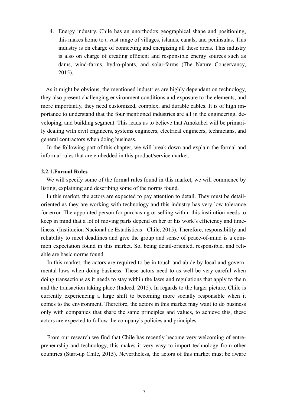4. Energy industry. Chile has an unorthodox geographical shape and positioning, this makes home to a vast range of villages, islands, canals, and peninsulas. This industry is on charge of connecting and energizing all these areas. This industry is also on charge of creating efficient and responsible energy sources such as dams, wind-farms, hydro-plants, and solar-farms (The Nature Conservancy, 2015).

 As it might be obvious, the mentioned industries are highly dependant on technology, they also present challenging environment conditions and exposure to the elements, and more importantly, they need customized, complex, and durable cables. It is of high importance to understand that the four mentioned industries are all in the engineering, developing, and building segment. This leads us to believe that Amokabel will be primarily dealing with civil engineers, systems engineers, electrical engineers, technicians, and general contractors when doing business.

 In the following part of this chapter, we will break down and explain the formal and informal rules that are embedded in this product/service market.

#### **2.2.1.Formal Rules**

 We will specify some of the formal rules found in this market, we will commence by listing, explaining and describing some of the norms found.

 In this market, the actors are expected to pay attention to detail. They must be detailoriented as they are working with technology and this industry has very low tolerance for error. The appointed person for purchasing or selling within this institution needs to keep in mind that a lot of moving parts depend on her or his work's efficiency and timeliness. (Institucion Nacional de Estadisticas - Chile, 2015). Therefore, responsibility and reliability to meet deadlines and give the group and sense of peace-of-mind is a common expectation found in this market. So, being detail-oriented, responsible, and reliable are basic norms found.

 In this market, the actors are required to be in touch and abide by local and governmental laws when doing business. These actors need to as well be very careful when doing transactions as it needs to stay within the laws and regulations that apply to them and the transaction taking place (Indeed, 2015). In regards to the larger picture, Chile is currently experiencing a large shift to becoming more socially responsible when it comes to the environment. Therefore, the actors in this market may want to do business only with companies that share the same principles and values, to achieve this, these actors are expected to follow the company's policies and principles.

 From our research we find that Chile has recently become very welcoming of entrepreneurship and technology, this makes it very easy to import technology from other countries (Start-up Chile, 2015). Nevertheless, the actors of this market must be aware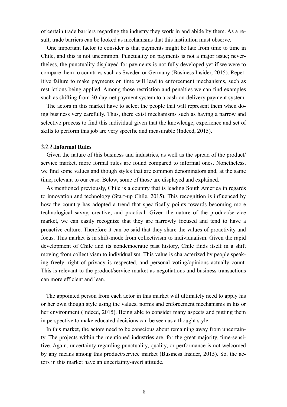of certain trade barriers regarding the industry they work in and abide by them. As a result, trade barriers can be looked as mechanisms that this institution must observe.

 One important factor to consider is that payments might be late from time to time in Chile, and this is not uncommon. Punctuality on payments is not a major issue; nevertheless, the punctuality displayed for payments is not fully developed yet if we were to compare them to countries such as Sweden or Germany (Business Insider, 2015). Repetitive failure to make payments on time will lead to enforcement mechanisms, such as restrictions being applied. Among those restriction and penalties we can find examples such as shifting from 30-day-net payment system to a cash-on-delivery payment system.

 The actors in this market have to select the people that will represent them when doing business very carefully. Thus, there exist mechanisms such as having a narrow and selective process to find this individual given that the knowledge, experience and set of skills to perform this job are very specific and measurable (Indeed, 2015).

#### **2.2.2.Informal Rules**

 Given the nature of this business and industries, as well as the spread of the product/ service market, more formal rules are found compared to informal ones. Nonetheless, we find some values and though styles that are common denominators and, at the same time, relevant to our case. Below, some of those are displayed and explained.

 As mentioned previously, Chile is a country that is leading South America in regards to innovation and technology (Start-up Chile, 2015). This recognition is influenced by how the country has adopted a trend that specifically points towards becoming more technological savvy, creative, and practical. Given the nature of the product/service market, we can easily recognize that they are narrowly focused and tend to have a proactive culture. Therefore it can be said that they share the values of proactivity and focus. This market is in shift-mode from collectivism to individualism. Given the rapid development of Chile and its nondemocratic past history, Chile finds itself in a shift moving from collectivism to individualism. This value is characterized by people speaking freely, right of privacy is respected, and personal voting/opinions actually count. This is relevant to the product/service market as negotiations and business transactions can more efficient and lean.

 The appointed person from each actor in this market will ultimately need to apply his or her own though style using the values, norms and enforcement mechanisms in his or her environment (Indeed, 2015). Being able to consider many aspects and putting them in perspective to make educated decisions can be seen as a thought style.

 In this market, the actors need to be conscious about remaining away from uncertainty. The projects within the mentioned industries are, for the great majority, time-sensitive. Again, uncertainty regarding punctuality, quality, or performance is not welcomed by any means among this product/service market (Business Insider, 2015). So, the actors in this market have an uncertainty-avert attitude.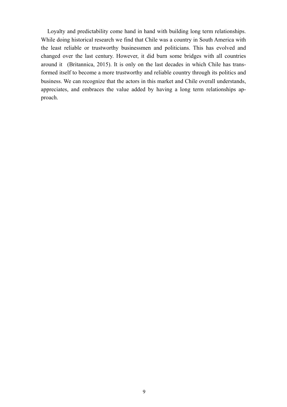Loyalty and predictability come hand in hand with building long term relationships. While doing historical research we find that Chile was a country in South America with the least reliable or trustworthy businessmen and politicians. This has evolved and changed over the last century. However, it did burn some bridges with all countries around it (Britannica, 2015). It is only on the last decades in which Chile has transformed itself to become a more trustworthy and reliable country through its politics and business. We can recognize that the actors in this market and Chile overall understands, appreciates, and embraces the value added by having a long term relationships approach.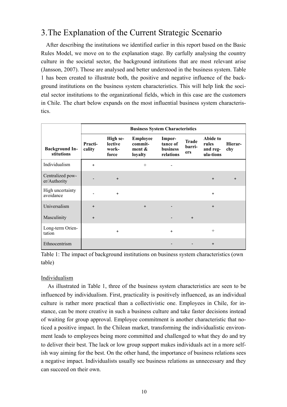# 3.The Explanation of the Current Strategic Scenario

 After describing the institutions we identified earlier in this report based on the Basic Rules Model, we move on to the explanation stage. By carfully analysing the country culture in the societal sector, the background intitutions that are most relevant arise (Jansson, 2007). Those are analysed and better understood in the business system. Table 1 has been created to illustrate both, the positive and negative influence of the background institutions on the business system characteristics. This will help link the societal sector institutions to the organizational fields, which in this case are the customers in Chile. The chart below expands on the most influential business system characteristics.

|                                     |                   | <b>Business System Characteristics</b><br>High se-<br><b>Employee</b><br>Impor-<br><b>Trade</b><br><b>lective</b><br>commit-<br>tance of<br>rules<br>barri-<br>work-<br>ment $\&$<br><b>business</b><br>ers<br>relations<br>force<br>loyalty<br>$\ddot{}$<br>$^{+}$<br>$+$<br>$\ddot{}$<br>$+$<br>$\ddot{}$<br>$\ddot{}$<br>$+$<br>$\ddot{}$<br>$\ddot{}$<br>$+$<br>$^{+}$ |  |           |  |                                   |                |  |  |  |  |  |
|-------------------------------------|-------------------|----------------------------------------------------------------------------------------------------------------------------------------------------------------------------------------------------------------------------------------------------------------------------------------------------------------------------------------------------------------------------|--|-----------|--|-----------------------------------|----------------|--|--|--|--|--|
| <b>Background In-</b><br>stitutions | Practi-<br>cality |                                                                                                                                                                                                                                                                                                                                                                            |  |           |  | Abide to<br>and reg-<br>ula-tions | Hierar-<br>chy |  |  |  |  |  |
| Individualism                       |                   |                                                                                                                                                                                                                                                                                                                                                                            |  |           |  |                                   |                |  |  |  |  |  |
| Centralized pow-<br>er/Authority    |                   |                                                                                                                                                                                                                                                                                                                                                                            |  |           |  |                                   | $\ddot{}$      |  |  |  |  |  |
| High uncertainty<br>avoidance       |                   |                                                                                                                                                                                                                                                                                                                                                                            |  |           |  |                                   |                |  |  |  |  |  |
| Universalism                        |                   |                                                                                                                                                                                                                                                                                                                                                                            |  |           |  |                                   |                |  |  |  |  |  |
| Masculinity                         |                   |                                                                                                                                                                                                                                                                                                                                                                            |  |           |  |                                   |                |  |  |  |  |  |
| Long-term Orien-<br>tation          |                   | $\pm$                                                                                                                                                                                                                                                                                                                                                                      |  | $\ddot{}$ |  |                                   |                |  |  |  |  |  |
| Ethnocentrism                       |                   |                                                                                                                                                                                                                                                                                                                                                                            |  |           |  | $\ddot{}$                         |                |  |  |  |  |  |

Table 1: The impact of background institutions on business system characteristics (own table)

#### Individualism

 As illustrated in Table 1, three of the business system characteristics are seen to be influenced by individualism. First, practicality is positively influenced, as an individual culture is rather more practical than a collectivistic one. Employees in Chile, for instance, can be more creative in such a business culture and take faster decisions instead of waiting for group approval. Employee commitment is another characteristic that noticed a positive impact. In the Chilean market, transforming the individualistic environment leads to employees being more committed and challenged to what they do and try to deliver their best. The lack or low group support makes individuals act in a more selfish way aiming for the best. On the other hand, the importance of business relations sees a negative impact. Individualists usually see business relations as unnecessary and they can succeed on their own.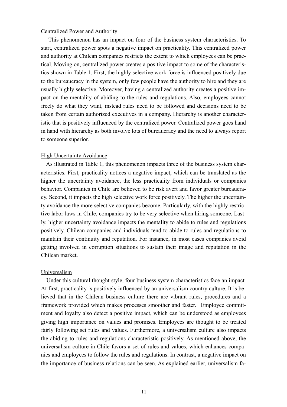#### Centralized Power and Authority

 This phenomenon has an impact on four of the business system characteristics. To start, centralized power spots a negative impact on practicality. This centralized power and authority at Chilean companies restricts the extent to which employees can be practical. Moving on, centralized power creates a positive impact to some of the characteristics shown in Table 1. First, the highly selective work force is influenced positively due to the bureaucracy in the system, only few people have the authority to hire and they are usually highly selective. Moreover, having a centralized authority creates a positive impact on the mentality of abiding to the rules and regulations. Also, employees cannot freely do what they want, instead rules need to be followed and decisions need to be taken from certain authorized executives in a company. Hierarchy is another characteristic that is positively influenced by the centralized power. Centralized power goes hand in hand with hierarchy as both involve lots of bureaucracy and the need to always report to someone superior.

#### High Uncertainty Avoidance

 As illustrated in Table 1, this phenomenon impacts three of the business system characteristics. First, practicality notices a negative impact, which can be translated as the higher the uncertainty avoidance, the less practicality from individuals or companies behavior. Companies in Chile are believed to be risk avert and favor greater bureaucracy. Second, it impacts the high selective work force positively. The higher the uncertainty avoidance the more selective companies become. Particularly, with the highly restrictive labor laws in Chile, companies try to be very selective when hiring someone. Lastly, higher uncertainty avoidance impacts the mentality to abide to rules and regulations positively. Chilean companies and individuals tend to abide to rules and regulations to maintain their continuity and reputation. For instance, in most cases companies avoid getting involved in corruption situations to sustain their image and reputation in the Chilean market.

#### Universalism

 Under this cultural thought style, four business system characteristics face an impact. At first, practicality is positively influenced by an universalism country culture. It is believed that in the Chilean business culture there are vibrant rules, procedures and a framework provided which makes processes smoother and faster. Employee commitment and loyalty also detect a positive impact, which can be understood as employees giving high importance on values and promises. Employees are thought to be treated fairly following set rules and values. Furthermore, a universalism culture also impacts the abiding to rules and regulations characteristic positively. As mentioned above, the universalism culture in Chile favors a set of rules and values, which enhances companies and employees to follow the rules and regulations. In contrast, a negative impact on the importance of business relations can be seen. As explained earlier, universalism fa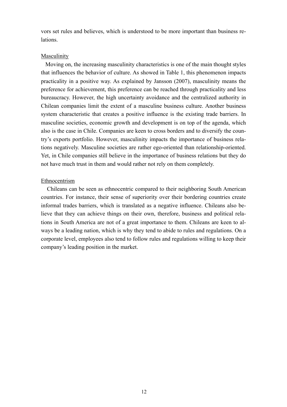vors set rules and believes, which is understood to be more important than business relations.

#### Masculinity

 Moving on, the increasing masculinity characteristics is one of the main thought styles that influences the behavior of culture. As showed in Table 1, this phenomenon impacts practicality in a positive way. As explained by Jansson (2007), masculinity means the preference for achievement, this preference can be reached through practicality and less bureaucracy. However, the high uncertainty avoidance and the centralized authority in Chilean companies limit the extent of a masculine business culture. Another business system characteristic that creates a positive influence is the existing trade barriers. In masculine societies, economic growth and development is on top of the agenda, which also is the case in Chile. Companies are keen to cross borders and to diversify the country's exports portfolio. However, masculinity impacts the importance of business relations negatively. Masculine societies are rather ego-oriented than relationship-oriented. Yet, in Chile companies still believe in the importance of business relations but they do not have much trust in them and would rather not rely on them completely.

#### Ethnocentrism

 Chileans can be seen as ethnocentric compared to their neighboring South American countries. For instance, their sense of superiority over their bordering countries create informal trades barriers, which is translated as a negative influence. Chileans also believe that they can achieve things on their own, therefore, business and political relations in South America are not of a great importance to them. Chileans are keen to always be a leading nation, which is why they tend to abide to rules and regulations. On a corporate level, employees also tend to follow rules and regulations willing to keep their company's leading position in the market.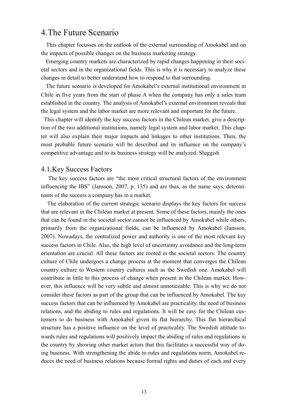## 4.The Future Scenario

 This chapter focusses on the outlook of the external surrounding of Amokabel and on the impacts of possible changes on the business marketing strategy.

 Emerging country markets are characterized by rapid changes happening in their societal sectors and in the organizational fields. This is why it is necessary to analyze these changes in detail to better understand how to respond to that surrounding.

 The future scenario is developed for Amokabel's external institutional environment in Chile in five years from the start of phase A when the company has only a sales team established in the country. The analysis of Amokabel's external environment reveals that the legal system and the labor market are more relevant and important for the future.

 This chapter will identify the key success factors in the Chilean market, give a description of the two additional institutions, namely legal system and labor market. This chapter will also explain their major impacts and linkages to other institutions. Then, the most probable future scenario will be described and its influence on the company's competitive advantage and to its business strategy will be analyzed. Sluggish

### 4.1.Key Success Factors

 The key success factors are "the most critical structural factors of the environment influencing the IBS" (Jansson, 2007, p. 135) and are thus, as the name says, determinants of the success a company has in a market.

 The elaboration of the current strategic scenario displays the key factors for success that are relevant in the Chilean market at present. Some of these factors, mainly the ones that can be found in the societal sector cannot be influenced by Amokabel while others, primarily from the organizational fields, can be influenced by Amokabel (Jansson, 2007). Nowadays, the centralized power and authority is one of the most relevant key success factors in Chile. Also, the high level of uncertainty avoidance and the long-term orientation are crucial. All these factors are rooted in the societal sectors. The country culture of Chile undergoes a change process at the moment that converges the Chilean country culture to Western country cultures such as the Swedish one. Amokabel will contribute in little to this process of change when present in the Chilean market. However, this influence will be very subtle and almost unnoticeable. This is why we do not consider these factors as part of the group that can be influenced by Amokabel. The key success factors that can be influenced by Amokabel are practicality, the need of business relations, and the abiding to rules and regulations. It will be easy for the Chilean customers to do business with Amokabel given its flat hierarchy. This flat hierarchical structure has a positive influence on the level of practicality. The Swedish attitude towards rules and regulations will positively impact the abiding of rules and regulations in the country by showing other market actors that this facilitates a successful way of doing business. With strengthening the abide to rules and regulations norm, Amokabel reduces the need of business relations because formal rights and duties of each and every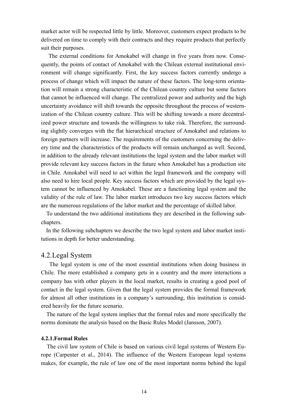market actor will be respected little by little. Moreover, customers expect products to be delivered on time to comply with their contracts and they require products that perfectly suit their purposes.

 The external conditions for Amokabel will change in five years from now. Consequently, the points of contact of Amokabel with the Chilean external institutional environment will change significantly. First, the key success factors currently undergo a process of change which will impact the nature of these factors. The long-term orientation will remain a strong characteristic of the Chilean country culture but some factors that cannot be influenced will change. The centralized power and authority and the high uncertainty avoidance will shift towards the opposite throughout the process of westernization of the Chilean country culture. This will be shifting towards a more decentralized power structure and towards the willingness to take risk. Therefore, the surrounding slightly converges with the flat hierarchical structure of Amokabel and relations to foreign partners will increase. The requirements of the customers concerning the delivery time and the characteristics of the products will remain unchanged as well. Second, in addition to the already relevant institutions the legal system and the labor market will provide relevant key success factors in the future when Amokabel has a production site in Chile. Amokabel will need to act within the legal framework and the company will also need to hire local people. Key success factors which are provided by the legal system cannot be influenced by Amokabel. These are a functioning legal system and the validity of the rule of law. The labor market introduces two key success factors which are the numerous regulations of the labor market and the percentage of skilled labor.

 To understand the two additional institutions they are described in the following subchapters.

 In the following subchapters we describe the two legal system and labor market institutions in depth for better understanding.

#### 4.2.Legal System

 The legal system is one of the most essential institutions when doing business in Chile. The more established a company gets in a country and the more interactions a company has with other players in the local market, results in creating a good pool of contact in the legal system. Given that the legal system provides the formal framework for almost all other institutions in a company's surrounding, this institution is considered heavily for the future scenario.

 The nature of the legal system implies that the formal rules and more specifically the norms dominate the analysis based on the Basic Rules Model (Jansson, 2007).

#### **4.2.1.Formal Rules**

 The civil law system of Chile is based on various civil legal systems of Western Europe (Carpenter et al., 2014). The influence of the Western European legal systems makes, for example, the rule of law one of the most important norms behind the legal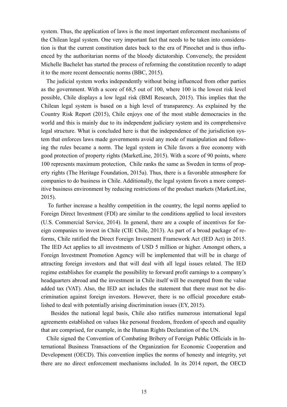system. Thus, the application of laws is the most important enforcement mechanisms of the Chilean legal system. One very important fact that needs to be taken into consideration is that the current constitution dates back to the era of Pinochet and is thus influenced by the authoritarian norms of the bloody dictatorship. Conversely, the president Michelle Bachelet has started the process of reforming the constitution recently to adapt it to the more recent democratic norms (BBC, 2015).

 The judicial system works independently without being influenced from other parties as the government. With a score of 68,5 out of 100, where 100 is the lowest risk level possible, Chile displays a low legal risk (BMI Research, 2015). This implies that the Chilean legal system is based on a high level of transparency. As explained by the Country Risk Report (2015), Chile enjoys one of the most stable democracies in the world and this is mainly due to its independent judiciary system and its comprehensive legal structure. What is concluded here is that the independence of the jurisdiction system that enforces laws made governments avoid any mode of manipulation and following the rules became a norm. The legal system in Chile favors a free economy with good protection of property rights (MarketLine, 2015). With a score of 90 points, where 100 represents maximum protection, Chile ranks the same as Sweden in terms of property rights (The Heritage Foundation, 2015a). Thus, there is a favorable atmosphere for companies to do business in Chile. Additionally, the legal system favors a more competitive business environment by reducing restrictions of the product markets (MarketLine, 2015).

 To further increase a healthy competition in the country, the legal norms applied to Foreign Direct Investment (FDI) are similar to the conditions applied to local investors (U.S. Commercial Service, 2014). In general, there are a couple of incentives for foreign companies to invest in Chile (CIE Chile, 2013). As part of a broad package of reforms, Chile ratified the Direct Foreign Investment Framework Act (IED Act) in 2015. The IED Act applies to all investments of USD 5 million or higher. Amongst others, a Foreign Investment Promotion Agency will be implemented that will be in charge of attracting foreign investors and that will deal with all legal issues related. The IED regime establishes for example the possibility to forward profit earnings to a company's headquarters abroad and the investment in Chile itself will be exempted from the value added tax (VAT). Also, the IED act includes the statement that there must not be discrimination against foreign investors. However, there is no official procedure established to deal with potentially arising discrimination issues (EY, 2015).

 Besides the national legal basis, Chile also ratifies numerous international legal agreements established on values like personal freedom, freedom of speech and equality that are comprised, for example, in the Human Rights Declaration of the UN.

 Chile signed the Convention of Combating Bribery of Foreign Public Officials in International Business Transactions of the Organization for Economic Cooperation and Development (OECD). This convention implies the norms of honesty and integrity, yet there are no direct enforcement mechanisms included. In its 2014 report, the OECD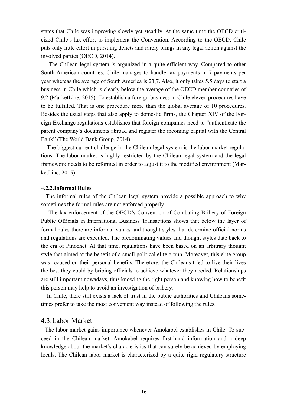states that Chile was improving slowly yet steadily. At the same time the OECD criticized Chile's lax effort to implement the Convention. According to the OECD, Chile puts only little effort in pursuing delicts and rarely brings in any legal action against the involved parties (OECD, 2014).

 The Chilean legal system is organized in a quite efficient way. Compared to other South American countries, Chile manages to handle tax payments in 7 payments per year whereas the average of South America is 23,7. Also, it only takes 5,5 days to start a business in Chile which is clearly below the average of the OECD member countries of 9,2 (MarketLine, 2015). To establish a foreign business in Chile eleven procedures have to be fulfilled. That is one procedure more than the global average of 10 procedures. Besides the usual steps that also apply to domestic firms, the Chapter XIV of the Foreign Exchange regulations establishes that foreign companies need to "authenticate the parent company's documents abroad and register the incoming capital with the Central Bank" (The World Bank Group, 2014).

 The biggest current challenge in the Chilean legal system is the labor market regulations. The labor market is highly restricted by the Chilean legal system and the legal framework needs to be reformed in order to adjust it to the modified environment (MarketLine, 2015).

#### **4.2.2.Informal Rules**

 The informal rules of the Chilean legal system provide a possible approach to why sometimes the formal rules are not enforced properly.

 The lax enforcement of the OECD's Convention of Combating Bribery of Foreign Public Officials in International Business Transactions shows that below the layer of formal rules there are informal values and thought styles that determine official norms and regulations are executed. The predominating values and thought styles date back to the era of Pinochet. At that time, regulations have been based on an arbitrary thought style that aimed at the benefit of a small political elite group. Moreover, this elite group was focused on their personal benefits. Therefore, the Chileans tried to live their lives the best they could by bribing officials to achieve whatever they needed. Relationships are still important nowadays, thus knowing the right person and knowing how to benefit this person may help to avoid an investigation of bribery.

 In Chile, there still exists a lack of trust in the public authorities and Chileans sometimes prefer to take the most convenient way instead of following the rules.

#### 4.3.Labor Market

 The labor market gains importance whenever Amokabel establishes in Chile. To succeed in the Chilean market, Amokabel requires first-hand information and a deep knowledge about the market's characteristics that can surely be achieved by employing locals. The Chilean labor market is characterized by a quite rigid regulatory structure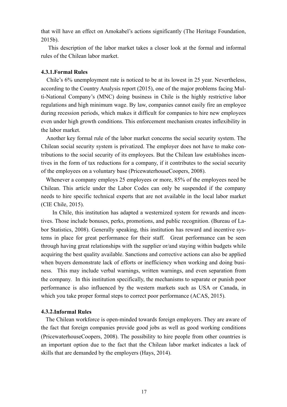that will have an effect on Amokabel's actions significantly (The Heritage Foundation, 2015b).

 This description of the labor market takes a closer look at the formal and informal rules of the Chilean labor market.

#### **4.3.1.Formal Rules**

 Chile's 6% unemployment rate is noticed to be at its lowest in 25 year. Nevertheless, according to the Country Analysis report (2015), one of the major problems facing Multi-National Company's (MNC) doing business in Chile is the highly restrictive labor regulations and high minimum wage. By law, companies cannot easily fire an employee during recession periods, which makes it difficult for companies to hire new employees even under high growth conditions. This enforcement mechanism creates inflexibility in the labor market.

 Another key formal rule of the labor market concerns the social security system. The Chilean social security system is privatized. The employer does not have to make contributions to the social security of its employees. But the Chilean law establishes incentives in the form of tax reductions for a company, if it contributes to the social security of the employees on a voluntary base (PricewaterhouseCoopers, 2008).

 Whenever a company employs 25 employees or more, 85% of the employees need be Chilean. This article under the Labor Codes can only be suspended if the company needs to hire specific technical experts that are not available in the local labor market (CIE Chile, 2015).

 In Chile, this institution has adapted a westernized system for rewards and incentives. Those include bonuses, perks, promotions, and public recognition. (Bureau of Labor Statistics, 2008). Generally speaking, this institution has reward and incentive systems in place for great performance for their staff. Great performance can be seen through having great relationships with the supplier or/and staying within budgets while acquiring the best quality available. Sanctions and corrective actions can also be applied when buyers demonstrate lack of efforts or inefficiency when working and doing business. This may include verbal warnings, written warnings, and even separation from the company. In this institution specifically, the mechanisms to separate or punish poor performance is also influenced by the western markets such as USA or Canada, in which you take proper formal steps to correct poor performance (ACAS, 2015).

#### **4.3.2.Informal Rules**

 The Chilean workforce is open-minded towards foreign employers. They are aware of the fact that foreign companies provide good jobs as well as good working conditions (PricewaterhouseCoopers, 2008). The possibility to hire people from other countries is an important option due to the fact that the Chilean labor market indicates a lack of skills that are demanded by the employers (Hays, 2014).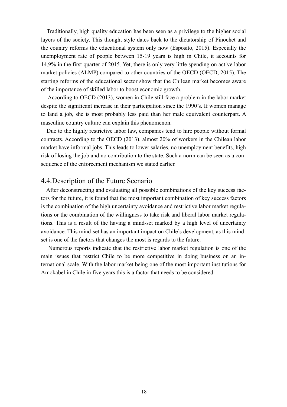Traditionally, high quality education has been seen as a privilege to the higher social layers of the society. This thought style dates back to the dictatorship of Pinochet and the country reforms the educational system only now (Esposito, 2015). Especially the unemployment rate of people between 15-19 years is high in Chile, it accounts for 14,9% in the first quarter of 2015. Yet, there is only very little spending on active labor market policies (ALMP) compared to other countries of the OECD (OECD, 2015). The starting reforms of the educational sector show that the Chilean market becomes aware of the importance of skilled labor to boost economic growth.

 According to OECD (2013), women in Chile still face a problem in the labor market despite the significant increase in their participation since the 1990's. If women manage to land a job, she is most probably less paid than her male equivalent counterpart. A masculine country culture can explain this phenomenon.

 Due to the highly restrictive labor law, companies tend to hire people without formal contracts. According to the OECD (2013), almost 20% of workers in the Chilean labor market have informal jobs. This leads to lower salaries, no unemployment benefits, high risk of losing the job and no contribution to the state. Such a norm can be seen as a consequence of the enforcement mechanism we stated earlier.

#### 4.4.Description of the Future Scenario

 After deconstructing and evaluating all possible combinations of the key success factors for the future, it is found that the most important combination of key success factors is the combination of the high uncertainty avoidance and restrictive labor market regulations or the combination of the willingness to take risk and liberal labor market regulations. This is a result of the having a mind-set marked by a high level of uncertainty avoidance. This mind-set has an important impact on Chile's development, as this mindset is one of the factors that changes the most is regards to the future.

 Numerous reports indicate that the restrictive labor market regulation is one of the main issues that restrict Chile to be more competitive in doing business on an international scale. With the labor market being one of the most important institutions for Amokabel in Chile in five years this is a factor that needs to be considered.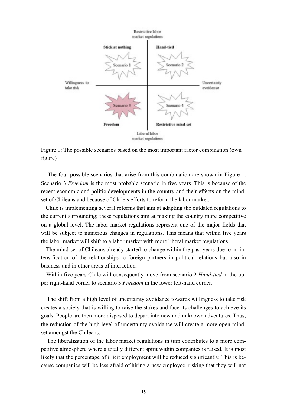

Figure 1: The possible scenarios based on the most important factor combination (own figure)

 The four possible scenarios that arise from this combination are shown in Figure 1. Scenario 3 *Freedom* is the most probable scenario in five years. This is because of the recent economic and politic developments in the country and their effects on the mindset of Chileans and because of Chile's efforts to reform the labor market.

 Chile is implementing several reforms that aim at adapting the outdated regulations to the current surrounding; these regulations aim at making the country more competitive on a global level. The labor market regulations represent one of the major fields that will be subject to numerous changes in regulations. This means that within five years the labor market will shift to a labor market with more liberal market regulations.

 The mind-set of Chileans already started to change within the past years due to an intensification of the relationships to foreign partners in political relations but also in business and in other areas of interaction.

 Within five years Chile will consequently move from scenario 2 *Hand-tied* in the upper right-hand corner to scenario 3 *Freedom* in the lower left-hand corner.

 The shift from a high level of uncertainty avoidance towards willingness to take risk creates a society that is willing to raise the stakes and face its challenges to achieve its goals. People are then more disposed to depart into new and unknown adventures. Thus, the reduction of the high level of uncertainty avoidance will create a more open mindset amongst the Chileans.

 The liberalization of the labor market regulations in turn contributes to a more competitive atmosphere where a totally different spirit within companies is raised. It is most likely that the percentage of illicit employment will be reduced significantly. This is because companies will be less afraid of hiring a new employee, risking that they will not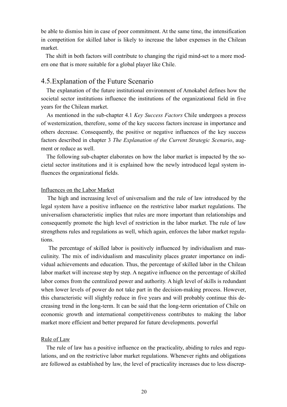be able to dismiss him in case of poor commitment. At the same time, the intensification in competition for skilled labor is likely to increase the labor expenses in the Chilean market.

 The shift in both factors will contribute to changing the rigid mind-set to a more modern one that is more suitable for a global player like Chile.

#### 4.5.Explanation of the Future Scenario

 The explanation of the future institutional environment of Amokabel defines how the societal sector institutions influence the institutions of the organizational field in five years for the Chilean market.

 As mentioned in the sub-chapter 4.1 *Key Success Factors* Chile undergoes a process of westernization, therefore, some of the key success factors increase in importance and others decrease. Consequently, the positive or negative influences of the key success factors described in chapter 3 *The Explanation of the Current Strategic Scenario*, augment or reduce as well.

 The following sub-chapter elaborates on how the labor market is impacted by the societal sector institutions and it is explained how the newly introduced legal system influences the organizational fields.

#### Influences on the Labor Market

 The high and increasing level of universalism and the rule of law introduced by the legal system have a positive influence on the restrictive labor market regulations. The universalism characteristic implies that rules are more important than relationships and consequently promote the high level of restriction in the labor market. The rule of law strengthens rules and regulations as well, which again, enforces the labor market regulations.

 The percentage of skilled labor is positively influenced by individualism and masculinity. The mix of individualism and masculinity places greater importance on individual achievements and education. Thus, the percentage of skilled labor in the Chilean labor market will increase step by step. A negative influence on the percentage of skilled labor comes from the centralized power and authority. A high level of skills is redundant when lower levels of power do not take part in the decision-making process. However, this characteristic will slightly reduce in five years and will probably continue this decreasing trend in the long-term. It can be said that the long-term orientation of Chile on economic growth and international competitiveness contributes to making the labor market more efficient and better prepared for future developments. powerful

#### Rule of Law

 The rule of law has a positive influence on the practicality, abiding to rules and regulations, and on the restrictive labor market regulations. Whenever rights and obligations are followed as established by law, the level of practicality increases due to less discrep-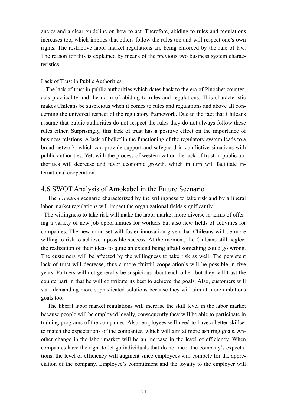ancies and a clear guideline on how to act. Therefore, abiding to rules and regulations increases too, which implies that others follow the rules too and will respect one's own rights. The restrictive labor market regulations are being enforced by the rule of law. The reason for this is explained by means of the previous two business system characteristics.

#### Lack of Trust in Public Authorities

 The lack of trust in public authorities which dates back to the era of Pinochet counteracts practicality and the norm of abiding to rules and regulations. This characteristic makes Chileans be suspicious when it comes to rules and regulations and above all concerning the universal respect of the regulatory framework. Due to the fact that Chileans assume that public authorities do not respect the rules they do not always follow these rules either. Surprisingly, this lack of trust has a positive effect on the importance of business relations. A lack of belief in the functioning of the regulatory system leads to a broad network, which can provide support and safeguard in conflictive situations with public authorities. Yet, with the process of westernization the lack of trust in public authorities will decrease and favor economic growth, which in turn will facilitate international cooperation.

#### 4.6.SWOT Analysis of Amokabel in the Future Scenario

The *Freedom* scenario characterized by the willingness to take risk and by a liberal labor market regulations will impact the organizational fields significantly.

 The willingness to take risk will make the labor market more diverse in terms of offering a variety of new job opportunities for workers but also new fields of activities for companies. The new mind-set will foster innovation given that Chileans will be more willing to risk to achieve a possible success. At the moment, the Chileans still neglect the realization of their ideas to quite an extend being afraid something could go wrong. The customers will be affected by the willingness to take risk as well. The persistent lack of trust will decrease, thus a more fruitful cooperation's will be possible in five years. Partners will not generally be suspicious about each other, but they will trust the counterpart in that he will contribute its best to achieve the goals. Also, customers will start demanding more sophisticated solutions because they will aim at more ambitious goals too.

 The liberal labor market regulations will increase the skill level in the labor market because people will be employed legally, consequently they will be able to participate in training programs of the companies. Also, employees will need to have a better skillset to match the expectations of the companies, which will aim at more aspiring goals. Another change in the labor market will be an increase in the level of efficiency. When companies have the right to let go individuals that do not meet the company's expectations, the level of efficiency will augment since employees will compete for the appreciation of the company. Employee's commitment and the loyalty to the employer will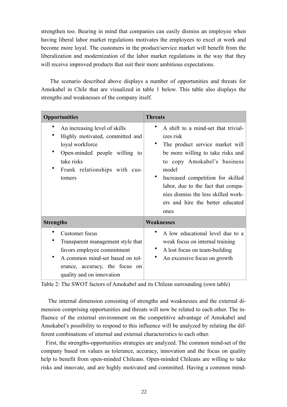strengthen too. Bearing in mind that companies can easily dismiss an employee when having liberal labor market regulations motivates the employees to excel at work and become more loyal. The customers in the product/service market will benefit from the liberalization and modernization of the labor market regulations in the way that they will receive improved products that suit their more ambitious expectations.

 The scenario described above displays a number of opportunities and threats for Amokabel in Chile that are visualized in table 1 below. This table also displays the strengths and weaknesses of the company itself.

| <b>Opportunities</b>                                                                                                                                                                | <b>Threats</b>                                                                                                                                                                                                                                                                                                                 |  |  |  |  |  |  |  |
|-------------------------------------------------------------------------------------------------------------------------------------------------------------------------------------|--------------------------------------------------------------------------------------------------------------------------------------------------------------------------------------------------------------------------------------------------------------------------------------------------------------------------------|--|--|--|--|--|--|--|
| An increasing level of skills<br>Highly motivated, committed and<br>loyal workforce<br>Open-minded people willing to<br>take risks<br>Frank relationships with cus-<br>tomers       | A shift to a mind-set that trivial-<br>izes risk<br>The product service market will<br>be more willing to take risks and<br>to copy Amokabel's business<br>model<br>Increased competition for skilled<br>labor, due to the fact that compa-<br>nies dismiss the less skilled work-<br>ers and hire the better educated<br>ones |  |  |  |  |  |  |  |
| <b>Strengths</b>                                                                                                                                                                    | <b>Weaknesses</b>                                                                                                                                                                                                                                                                                                              |  |  |  |  |  |  |  |
| Customer focus<br>Transparent management style that<br>favors employee commitment<br>A common mind-set based on tol-<br>erance, accuracy, the focus on<br>quality and on innovation | A low educational level due to a<br>weak focus on internal training<br>A lost focus on team-building<br>An excessive focus on growth                                                                                                                                                                                           |  |  |  |  |  |  |  |

Table 2: The SWOT factors of Amokabel and its Chilean surrounding (own table)

 The internal dimension consisting of strengths and weaknesses and the external dimension comprising opportunities and threats will now be related to each other. The influence of the external environment on the competitive advantage of Amokabel and Amokabel's possibility to respond to this influence will be analyzed by relating the different combinations of internal and external characteristics to each other.

 First, the strengths-opportunities strategies are analyzed. The common mind-set of the company based on values as tolerance, accuracy, innovation and the focus on quality help to benefit from open-minded Chileans. Open-minded Chileans are willing to take risks and innovate, and are highly motivated and committed. Having a common mind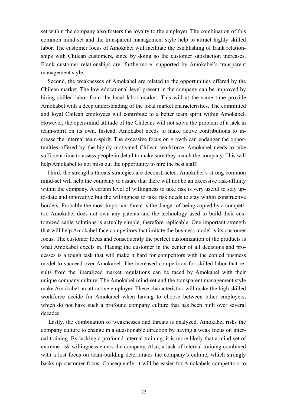set within the company also fosters the loyalty to the employer. The combination of this common mind-set and the transparent management style help to attract highly skilled labor. The customer focus of Amokabel will facilitate the establishing of frank relationships with Chilean customers, since by doing so the customer satisfaction increases. Frank customer relationships are, furthermore, supported by Amokabel's transparent management style.

 Second, the weaknesses of Amokabel are related to the opportunities offered by the Chilean market. The low educational level present in the company can be improved by hiring skilled labor from the local labor market. This will at the same time provide Amokabel with a deep understanding of the local market characteristics. The committed and loyal Chilean employees will contribute to a better team spirit within Amokabel. However, the open-mind attitude of the Chileans will not solve the problem of a lack in team-spirit on its own. Instead, Amokabel needs to make active contributions to increase the internal team-spirit. The excessive focus on growth can endanger the opportunities offered by the highly motivated Chilean workforce. Amokabel needs to take sufficient time to assess people in detail to make sure they match the company. This will help Amokabel to not miss out the opportunity to hire the best staff.

 Third, the strengths-threats strategies are deconstructed. Amokabel's strong common mind-set will help the company to assure that there will not be an excessive risk-affinity within the company. A certain level of willingness to take risk is very useful to stay upto-date and innovative but the willingness to take risk needs to stay within constructive borders. Probably the most important threat is the danger of being copied by a competitor. Amokabel does not own any patents and the technology used to build their customized cable solutions is actually simple, therefore replicable. One important strength that will help Amokabel face competitors that imitate the business model is its customer focus. The customer focus and consequently the perfect customization of the products is what Amokabel excels in. Placing the customer in the center of all decisions and processes is a tough task that will make it hard for competitors with the copied business model to succeed over Amokabel. The increased competition for skilled labor that results from the liberalized market regulations can be faced by Amokabel with their unique company culture. The Amokabel mind-set and the transparent management style make Amokabel an attractive employer. These characteristics will make the high skilled workforce decide for Amokabel when having to choose between other employers, which do not have such a profound company culture that has been built over several decades.

 Lastly, the combination of weaknesses and threats is analyzed. Amokabel risks the company culture to change in a questionable direction by having a weak focus on internal training. By lacking a profound internal training, it is more likely that a mind-set of extreme risk willingness enters the company. Also, a lack of internal training combined with a lost focus on team-building deteriorates the company's culture, which strongly backs up customer focus. Consequently, it will be easier for Amokabels competitors to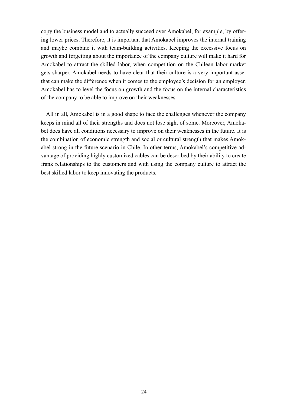copy the business model and to actually succeed over Amokabel, for example, by offering lower prices. Therefore, it is important that Amokabel improves the internal training and maybe combine it with team-building activities. Keeping the excessive focus on growth and forgetting about the importance of the company culture will make it hard for Amokabel to attract the skilled labor, when competition on the Chilean labor market gets sharper. Amokabel needs to have clear that their culture is a very important asset that can make the difference when it comes to the employee's decision for an employer. Amokabel has to level the focus on growth and the focus on the internal characteristics of the company to be able to improve on their weaknesses.

 All in all, Amokabel is in a good shape to face the challenges whenever the company keeps in mind all of their strengths and does not lose sight of some. Moreover, Amokabel does have all conditions necessary to improve on their weaknesses in the future. It is the combination of economic strength and social or cultural strength that makes Amokabel strong in the future scenario in Chile. In other terms, Amokabel's competitive advantage of providing highly customized cables can be described by their ability to create frank relationships to the customers and with using the company culture to attract the best skilled labor to keep innovating the products.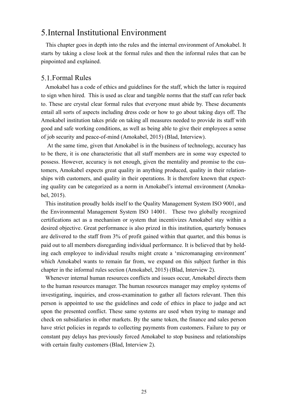# 5.Internal Institutional Environment

 This chapter goes in depth into the rules and the internal environment of Amokabel. It starts by taking a close look at the formal rules and then the informal rules that can be pinpointed and explained.

#### 5.1.Formal Rules

 Amokabel has a code of ethics and guidelines for the staff, which the latter is required to sign when hired. This is used as clear and tangible norms that the staff can refer back to. These are crystal clear formal rules that everyone must abide by. These documents entail all sorts of aspects including dress code or how to go about taking days off. The Amokabel institution takes pride on taking all measures needed to provide its staff with good and safe working conditions, as well as being able to give their employees a sense of job security and peace-of-mind (Amokabel, 2015) (Blad, Interview).

 At the same time, given that Amokabel is in the business of technology, accuracy has to be there, it is one characteristic that all staff members are in some way expected to possess. However, accuracy is not enough, given the mentality and promise to the customers, Amokabel expects great quality in anything produced, quality in their relationships with customers, and quality in their operations. It is therefore known that expecting quality can be categorized as a norm in Amokabel's internal environment (Amokabel, 2015).

 This institution proudly holds itself to the Quality Management System ISO 9001, and the Environmental Management System ISO 14001. These two globally recognized certifications act as a mechanism or system that incentivizes Amokabel stay within a desired objective. Great performance is also prized in this institution, quarterly bonuses are delivered to the staff from 3% of profit gained within that quarter, and this bonus is paid out to all members disregarding individual performance. It is believed that by holding each employee to individual results might create a 'micromanaging environment' which Amokabel wants to remain far from, we expand on this subject further in this chapter in the informal rules section (Amokabel, 2015) (Blad, Interview 2).

 Whenever internal human resources conflicts and issues occur, Amokabel directs them to the human resources manager. The human resources manager may employ systems of investigating, inquiries, and cross-examination to gather all factors relevant. Then this person is appointed to use the guidelines and code of ethics in place to judge and act upon the presented conflict. These same systems are used when trying to manage and check on subsidiaries in other markets. By the same token, the finance and sales person have strict policies in regards to collecting payments from customers. Failure to pay or constant pay delays has previously forced Amokabel to stop business and relationships with certain faulty customers (Blad, Interview 2).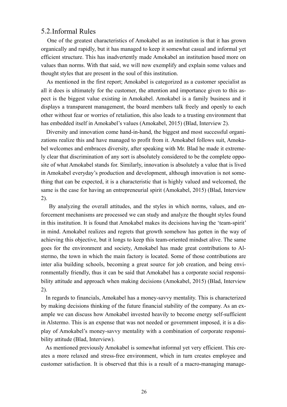#### 5.2.Informal Rules

 One of the greatest characteristics of Amokabel as an institution is that it has grown organically and rapidly, but it has managed to keep it somewhat casual and informal yet efficient structure. This has inadvertently made Amokabel an institution based more on values than norms. With that said, we will now exemplify and explain some values and thought styles that are present in the soul of this institution.

 As mentioned in the first report; Amokabel is categorized as a customer specialist as all it does is ultimately for the customer, the attention and importance given to this aspect is the biggest value existing in Amokabel. Amokabel is a family business and it displays a transparent management, the board members talk freely and openly to each other without fear or worries of retaliation, this also leads to a trusting environment that has embedded itself in Amokabel's values (Amokabel, 2015) (Blad, Interview 2).

 Diversity and innovation come hand-in-hand, the biggest and most successful organizations realize this and have managed to profit from it. Amokabel follows suit, Amokabel welcomes and embraces diversity, after speaking with Mr. Blad he made it extremely clear that discrimination of any sort is absolutely considered to be the complete opposite of what Amokabel stands for. Similarly, innovation is absolutely a value that is lived in Amokabel everyday's production and development, although innovation is not something that can be expected, it is a characteristic that is highly valued and welcomed, the same is the case for having an entrepreneurial spirit (Amokabel, 2015) (Blad, Interview 2).

 By analyzing the overall attitudes, and the styles in which norms, values, and enforcement mechanisms are processed we can study and analyze the thought styles found in this institution. It is found that Amokabel makes its decisions having the 'team-spirit' in mind. Amokabel realizes and regrets that growth somehow has gotten in the way of achieving this objective, but it longs to keep this team-oriented mindset alive. The same goes for the environment and society, Amokabel has made great contributions to Alstermo, the town in which the main factory is located. Some of those contributions are inter alia building schools, becoming a great source for job creation, and being environmentally friendly, thus it can be said that Amokabel has a corporate social responsibility attitude and approach when making decisions (Amokabel, 2015) (Blad, Interview 2).

 In regards to financials, Amokabel has a money-savvy mentality. This is characterized by making decisions thinking of the future financial stability of the company. As an example we can discuss how Amokabel invested heavily to become energy self-sufficient in Alstermo. This is an expense that was not needed or government imposed, it is a display of Amokabel's money-savvy mentality with a combination of corporate responsibility attitude (Blad, Interview).

 As mentioned previously Amokabel is somewhat informal yet very efficient. This creates a more relaxed and stress-free environment, which in turn creates employee and customer satisfaction. It is observed that this is a result of a macro-managing manage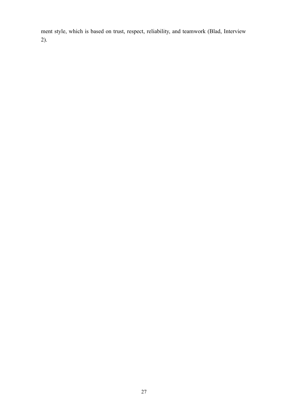ment style, which is based on trust, respect, reliability, and teamwork (Blad, Interview 2).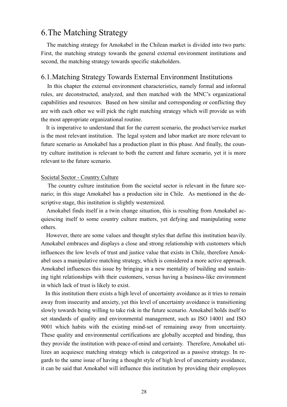# 6.The Matching Strategy

 The matching strategy for Amokabel in the Chilean market is divided into two parts: First, the matching strategy towards the general external environment institutions and second, the matching strategy towards specific stakeholders.

#### 6.1.Matching Strategy Towards External Environment Institutions

 In this chapter the external environment characteristics, namely formal and informal rules, are deconstructed, analyzed, and then matched with the MNC's organizational capabilities and resources. Based on how similar and corresponding or conflicting they are with each other we will pick the right matching strategy which will provide us with the most appropriate organizational routine.

 It is imperative to understand that for the current scenario, the product/service market is the most relevant institution. The legal system and labor market are more relevant to future scenario as Amokabel has a production plant in this phase. And finally, the country culture institution is relevant to both the current and future scenario, yet it is more relevant to the future scenario.

#### Societal Sector - Country Culture

 The country culture institution from the societal sector is relevant in the future scenario; in this stage Amokabel has a production site in Chile. As mentioned in the descriptive stage, this institution is slightly westernized.

 Amokabel finds itself in a twin change situation, this is resulting from Amokabel acquiescing itself to some country culture matters, yet defying and manipulating some others.

 However, there are some values and thought styles that define this institution heavily. Amokabel embraces and displays a close and strong relationship with customers which influences the low levels of trust and justice value that exists in Chile, therefore Amokabel uses a manipulative matching strategy, which is considered a more active approach. Amokabel influences this issue by bringing in a new mentality of building and sustaining tight relationships with their customers, versus having a business-like environment in which lack of trust is likely to exist.

 In this institution there exists a high level of uncertainty avoidance as it tries to remain away from insecurity and anxiety, yet this level of uncertainty avoidance is transitioning slowly towards being willing to take risk in the future scenario. Amokabel holds itself to set standards of quality and environmental management, such as ISO 14001 and ISO 9001 which habits with the existing mind-set of remaining away from uncertainty. These quality and environmental certifications are globally accepted and binding, thus they provide the institution with peace-of-mind and certainty. Therefore, Amokabel utilizes an acquiesce matching strategy which is categorized as a passive strategy. In regards to the same issue of having a thought style of high level of uncertainty avoidance, it can be said that Amokabel will influence this institution by providing their employees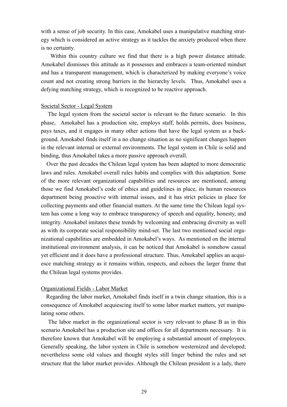with a sense of job security. In this case, Amokabel uses a manipulative matching strategy which is considered an active strategy as it tackles the anxiety produced when there is no certainty.

 Within this country culture we find that there is a high power distance attitude. Amokabel dismisses this attitude as it possesses and embraces a team-oriented mindset and has a transparent management, which is characterized by making everyone's voice count and not creating strong barriers in the hierarchy levels. Thus, Amokabel uses a defying matching strategy, which is recognized to be reactive approach.

#### Societal Sector - Legal System

 The legal system from the societal sector is relevant to the future scenario. In this phase, Amokabel has a production site, employs staff, holds permits, does business, pays taxes, and it engages in many other actions that have the legal system as a background. Amokabel finds itself in a no change situation as no significant changes happen in the relevant internal or external environments. The legal system in Chile is solid and binding, thus Amokabel takes a more passive approach overall.

 Over the past decades the Chilean legal system has been adapted to more democratic laws and rules. Amokabel overall rules habits and complies with this adaptation. Some of the more relevant organizational capabilities and resources are mentioned, among those we find Amokabel's code of ethics and guidelines in place, its human resources department being proactive with internal issues, and it has strict policies in place for collecting payments and other financial matters. At the same time the Chilean legal system has come a long way to embrace transparency of speech and equality, honesty, and integrity. Amokabel imitates these trends by welcoming and embracing diversity as well as with its corporate social responsibility mind-set. The last two mentioned social organizational capabilities are embedded in Amokabel's ways. As mentioned on the internal institutional environment analysis, it can be noticed that Amokabel is somehow casual yet efficient and it does have a professional structure. Thus, Amokabel applies an acquiesce matching strategy as it remains within, respects, and echoes the larger frame that the Chilean legal systems provides.

#### Organizational Fields - Labor Market

 Regarding the labor market, Amokabel finds itself in a twin change situation, this is a consequence of Amokabel acquiescing itself to some labor market matters, yet manipulating some others.

 The labor market in the organizational sector is very relevant to phase B as in this scenario Amokabel has a production site and offices for all departments necessary. It is therefore known that Amokabel will be employing a substantial amount of employees. Generally speaking, the labor system in Chile is somehow westernized and developed; nevertheless some old values and thought styles still linger behind the rules and set structure that the labor market provides. Although the Chilean president is a lady, there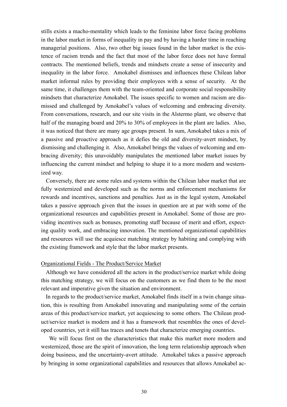stills exists a macho-mentality which leads to the feminine labor force facing problems in the labor market in forms of inequality in pay and by having a harder time in reaching managerial positions. Also, two other big issues found in the labor market is the existence of racism trends and the fact that most of the labor force does not have formal contracts. The mentioned beliefs, trends and mindsets create a sense of insecurity and inequality in the labor force. Amokabel dismisses and influences these Chilean labor market informal rules by providing their employees with a sense of security. At the same time, it challenges them with the team-oriented and corporate social responsibility mindsets that characterize Amokabel. The issues specific to women and racism are dismissed and challenged by Amokabel's values of welcoming and embracing diversity. From conversations, research, and our site visits in the Alstermo plant, we observe that half of the managing board and 20% to 30% of employees in the plant are ladies. Also, it was noticed that there are many age groups present. In sum, Amokabel takes a mix of a passive and proactive approach as it defies the old and diversity-avert mindset, by dismissing and challenging it. Also, Amokabel brings the values of welcoming and embracing diversity; this unavoidably manipulates the mentioned labor market issues by influencing the current mindset and helping to shape it to a more modern and westernized way.

 Conversely, there are some rules and systems within the Chilean labor market that are fully westernized and developed such as the norms and enforcement mechanisms for rewards and incentives, sanctions and penalties. Just as in the legal system, Amokabel takes a passive approach given that the issues in question are at par with some of the organizational resources and capabilities present in Amokabel. Some of those are providing incentives such as bonuses, promoting staff because of merit and effort, expecting quality work, and embracing innovation. The mentioned organizational capabilities and resources will use the acquiesce matching strategy by habiting and complying with the existing framework and style that the labor market presents.

#### Organizational Fields - The Product/Service Market

 Although we have considered all the actors in the product/service market while doing this matching strategy, we will focus on the customers as we find them to be the most relevant and imperative given the situation and environment.

 In regards to the product/service market, Amokabel finds itself in a twin change situation, this is resulting from Amokabel innovating and manipulating some of the certain areas of this product/service market, yet acquiescing to some others. The Chilean product/service market is modern and it has a framework that resembles the ones of developed countries, yet it still has traces and tenets that characterize emerging countries.

 We will focus first on the characteristics that make this market more modern and westernized, those are the spirit of innovation, the long term relationship approach when doing business, and the uncertainty-avert attitude. Amokabel takes a passive approach by bringing in some organizational capabilities and resources that allows Amokabel ac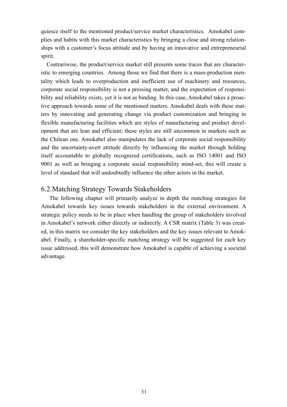quiesce itself to the mentioned product/service market characteristics. Amokabel complies and habits with this market characteristics by bringing a close and strong relationships with a customer's focus attitude and by having an innovative and entrepreneurial spirit.

 Contrariwise, the product/service market still presents some traces that are characteristic to emerging countries. Among those we find that there is a mass-production mentality which leads to overproduction and inefficient use of machinery and resources, corporate social responsibility is not a pressing matter, and the expectation of responsibility and reliability exists, yet it is not as binding. In this case, Amokabel takes a proactive approach towards some of the mentioned matters. Amokabel deals with these matters by innovating and generating change via product customization and bringing in flexible manufacturing facilities which are styles of manufacturing and product development that are lean and efficient; these styles are still uncommon in markets such as the Chilean one. Amokabel also manipulates the lack of corporate social responsibility and the uncertainty-avert attitude directly by influencing the market through holding itself accountable to globally recognized certifications, such as ISO 14001 and ISO 9001 as well as bringing a corporate social responsibility mind-set, this will create a level of standard that will undoubtedly influence the other actors in the market.

#### 6.2.Matching Strategy Towards Stakeholders

 The following chapter will primarily analyze in depth the matching strategies for Amokabel towards key issues towards stakeholders in the external environment. A strategic policy needs to be in place when handling the group of stakeholders involved in Amokabel's network either directly or indirectly. A CSR matrix (Table 3) was created, in this matrix we consider the key stakeholders and the key issues relevant to Amokabel. Finally, a shareholder-specific matching strategy will be suggested for each key issue addressed, this will demonstrate how Amokabel is capable of achieving a societal advantage.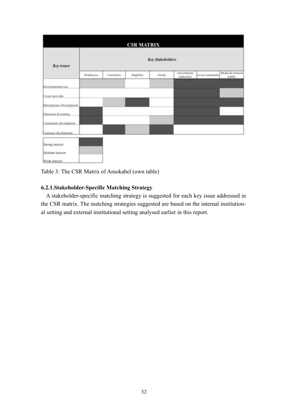|                            |                         |           | <b>CSR MATRIX</b> |       |                           |                 |                           |  |  |  |  |  |  |  |
|----------------------------|-------------------------|-----------|-------------------|-------|---------------------------|-----------------|---------------------------|--|--|--|--|--|--|--|
| <b>Key</b> issues          | <b>Key Stakeholders</b> |           |                   |       |                           |                 |                           |  |  |  |  |  |  |  |
|                            | <b>Employees</b>        | Customers | <b>Suppliers</b>  | Group | Government<br>authorities | Local community | Media & General<br>public |  |  |  |  |  |  |  |
| Environmental care         |                         |           |                   |       |                           |                 |                           |  |  |  |  |  |  |  |
| Create new jobs            |                         |           |                   |       |                           |                 |                           |  |  |  |  |  |  |  |
| Infrastructure Development |                         |           |                   |       |                           |                 |                           |  |  |  |  |  |  |  |
| Education & training       |                         |           |                   |       |                           |                 |                           |  |  |  |  |  |  |  |
| Community development.     |                         |           |                   |       |                           |                 |                           |  |  |  |  |  |  |  |
| Customer development.      |                         |           |                   |       |                           |                 |                           |  |  |  |  |  |  |  |
| Strong interest            |                         |           |                   |       |                           |                 |                           |  |  |  |  |  |  |  |
| Medium interest            |                         |           |                   |       |                           |                 |                           |  |  |  |  |  |  |  |
| Weak interest              |                         |           |                   |       |                           |                 |                           |  |  |  |  |  |  |  |

Table 3: The CSR Matrix of Amokabel (own table)

#### **6.2.1.Stakeholder-Specific Matching Strategy**

 A stakeholder-specific matching strategy is suggested for each key issue addressed in the CSR matrix. The matching strategies suggested are based on the internal institutional setting and external institutional setting analysed earlier in this report.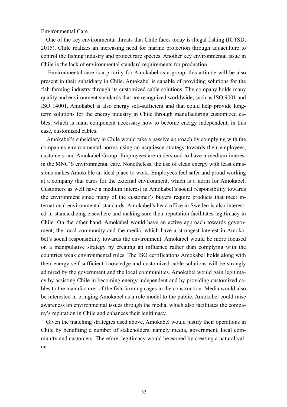#### Environmental Care

 One of the key environmental threats that Chile faces today is illegal fishing (ICTSD, 2015). Chile realizes an increasing need for marine protection through aquaculture to control the fishing industry and protect rare species. Another key environmental issue in Chile is the lack of environmental standard requirements for production.

 Environmental care is a priority for Amokabel as a group, this attitude will be also present in their subsidiary in Chile. Amokabel is capable of providing solutions for the fish-farming industry through its customized cable solutions. The company holds many quality and environment standards that are recognized worldwide, such as ISO 9001 and ISO 14001. Amokabel is also energy self-sufficient and that could help provide longterm solutions for the energy industry in Chile through manufacturing customized cables, which is main component necessary how to become energy independent, in this case, customized cables.

 Amokabel's subsidiary in Chile would take a passive approach by complying with the companies environmental norms using an acquiesce strategy towards their employees, customers and Amokabel Group. Employees are understood to have a medium interest in the MNC'S environmental care. Nonetheless, the use of clean energy with least emissions makes Amokable an ideal place to work. Employees feel safer and proud working at a company that cares for the external environment, which is a norm for Amokabel. Customers as well have a medium interest in Amokabel's social responsibility towards the environment since many of the customer's buyers require products that meet international environmental standards. Amokabel's head office in Sweden is also interested in standardizing elsewhere and making sure their reputation facilitates legitimacy in Chile. On the other hand, Amokabel would have an active approach towards government, the local community and the media, which have a strongest interest in Amokabel's social responsibility towards the environment. Amokabel would be more focused on a manipulative strategy by creating an influence rather than complying with the countries weak environmental rules. The ISO certifications Amokabel holds along with their energy self sufficient knowledge and customized cable solutions will be strongly admired by the government and the local communities. Amokabel would gain legitimacy by assisting Chile in becoming energy independent and by providing customized cables to the manufacturer of the fish-farming cages in the construction. Media would also be interested in bringing Amokabel as a role model to the public. Amokabel could raise awareness on environmental issues through the media, which also facilitates the company's reputation in Chile and enhances their legitimacy.

 Given the matching strategies used above, Amokabel would justify their operations in Chile by benefiting a number of stakeholders, namely media, government, local community and customers. Therefore, legitimacy would be earned by creating a natural value.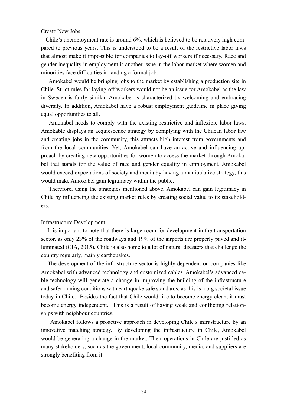#### Create New Jobs

 Chile's unemployment rate is around 6%, which is believed to be relatively high compared to previous years. This is understood to be a result of the restrictive labor laws that almost make it impossible for companies to lay-off workers if necessary. Race and gender inequality in employment is another issue in the labor market where women and minorities face difficulties in landing a formal job.

 Amokabel would be bringing jobs to the market by establishing a production site in Chile. Strict rules for laying-off workers would not be an issue for Amokabel as the law in Sweden is fairly similar. Amokabel is characterized by welcoming and embracing diversity. In addition, Amokabel have a robust employment guideline in place giving equal opportunities to all.

 Amokabel needs to comply with the existing restrictive and inflexible labor laws. Amokable displays an acquiescence strategy by complying with the Chilean labor law and creating jobs in the community, this attracts high interest from governments and from the local communities. Yet, Amokabel can have an active and influencing approach by creating new opportunities for women to access the market through Amokabel that stands for the value of race and gender equality in employment. Amokabel would exceed expectations of society and media by having a manipulative strategy, this would make Amokabel gain legitimacy within the public.

 Therefore, using the strategies mentioned above, Amokabel can gain legitimacy in Chile by influencing the existing market rules by creating social value to its stakeholders.

#### Infrastructure Development

 It is important to note that there is large room for development in the transportation sector, as only 23% of the roadways and 19% of the airports are properly paved and illuminated (CIA, 2015). Chile is also home to a lot of natural disasters that challenge the country regularly, mainly earthquakes.

 The development of the infrastructure sector is highly dependent on companies like Amokabel with advanced technology and customized cables. Amokabel's advanced cable technology will generate a change in improving the building of the infrastructure and safer mining conditions with earthquake safe standards, as this is a big societal issue today in Chile. Besides the fact that Chile would like to become energy clean, it must become energy independent. This is a result of having weak and conflicting relationships with neighbour countries.

 Amokabel follows a proactive approach in developing Chile's infrastructure by an innovative matching strategy. By developing the infrastructure in Chile, Amokabel would be generating a change in the market. Their operations in Chile are justified as many stakeholders, such as the government, local community, media, and suppliers are strongly benefiting from it.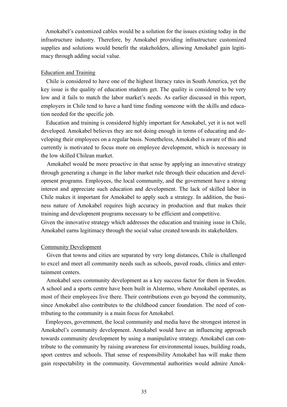Amokabel's customized cables would be a solution for the issues existing today in the infrastructure industry. Therefore, by Amokabel providing infrastructure customized supplies and solutions would benefit the stakeholders, allowing Amokabel gain legitimacy through adding social value.

#### Education and Training

 Chile is considered to have one of the highest literacy rates in South America, yet the key issue is the quality of education students get. The quality is considered to be very low and it fails to match the labor market's needs. As earlier discussed in this report, employers in Chile tend to have a hard time finding someone with the skills and education needed for the specific job.

 Education and training is considered highly important for Amokabel, yet it is not well developed. Amokabel believes they are not doing enough in terms of educating and developing their employees on a regular basis. Nonetheless, Amokabel is aware of this and currently is motivated to focus more on employee development, which is necessary in the low skilled Chilean market.

 Amokabel would be more proactive in that sense by applying an innovative strategy through generating a change in the labor market rule through their education and development programs. Employees, the local community, and the government have a strong interest and appreciate such education and development. The lack of skilled labor in Chile makes it important for Amokabel to apply such a strategy. In addition, the business nature of Amokabel requires high accuracy in production and that makes their training and development programs necessary to be efficient and competitive.

Given the innovative strategy which addresses the education and training issue in Chile, Amokabel earns legitimacy through the social value created towards its stakeholders.

#### Community Development

 Given that towns and cities are separated by very long distances, Chile is challenged to excel and meet all community needs such as schools, paved roads, clinics and entertainment centers.

 Amokabel sees community development as a key success factor for them in Sweden. A school and a sports centre have been built in Alstermo, where Amokabel operates, as most of their employees live there. Their contributions even go beyond the community, since Amokabel also contributes to the childhood cancer foundation. The need of contributing to the community is a main focus for Amokabel.

 Employees, government, the local community and media have the strongest interest in Amokabel's community development. Amokabel would have an influencing approach towards community development by using a manipulative strategy. Amokabel can contribute to the community by raising awareness for environmental issues, building roads, sport centres and schools. That sense of responsibility Amokabel has will make them gain respectability in the community. Governmental authorities would admire Amok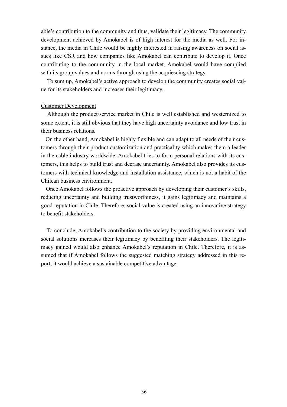able's contribution to the community and thus, validate their legitimacy. The community development achieved by Amokabel is of high interest for the media as well. For instance, the media in Chile would be highly interested in raising awareness on social issues like CSR and how companies like Amokabel can contribute to develop it. Once contributing to the community in the local market, Amokabel would have complied with its group values and norms through using the acquiescing strategy.

 To sum up, Amokabel's active approach to develop the community creates social value for its stakeholders and increases their legitimacy.

#### Customer Development

 Although the product/service market in Chile is well established and westernized to some extent, it is still obvious that they have high uncertainty avoidance and low trust in their business relations.

 On the other hand, Amokabel is highly flexible and can adapt to all needs of their customers through their product customization and practicality which makes them a leader in the cable industry worldwide. Amokabel tries to form personal relations with its customers, this helps to build trust and decrase uncertainty. Amokabel also provides its customers with technical knowledge and installation assistance, which is not a habit of the Chilean business environment.

 Once Amokabel follows the proactive approach by developing their customer's skills, reducing uncertainty and building trustworthiness, it gains legitimacy and maintains a good reputation in Chile. Therefore, social value is created using an innovative strategy to benefit stakeholders.

 To conclude, Amokabel's contribution to the society by providing environmental and social solutions increases their legitimacy by benefiting their stakeholders. The legitimacy gained would also enhance Amokabel's reputation in Chile. Therefore, it is assumed that if Amokabel follows the suggested matching strategy addressed in this report, it would achieve a sustainable competitive advantage.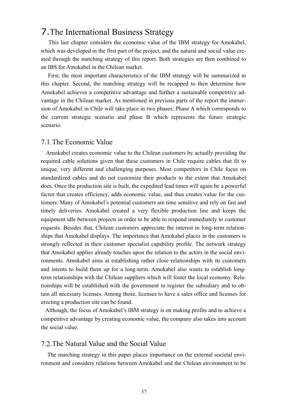# 7.The International Business Strategy

 This last chapter considers the economic value of the IBM strategy for Amokabel, which was developed in the first part of the project, and the natural and social value created through the matching strategy of this report. Both strategies are then combined to an IBS for Amokabel in the Chilean market.

 First, the most important characteristics of the IBM strategy will be summarized in this chapter. Second, the matching strategy will be recapped to then determine how Amokabel achieves a competitive advantage and further a sustainable competitive advantage in the Chilean market. As mentioned in previous parts of the report the immersion of Amokabel in Chile will take place in two phases: Phase A which corresponds to the current strategic scenario and phase B which represents the future strategic scenario.

#### 7.1.The Economic Value

 Amokabel creates economic value to the Chilean customers by actually providing the required cable solutions given that these customers in Chile require cables that fit to unique, very different and challenging purposes. Most competitors in Chile focus on standardized cables and do not customize their products to the extent that Amokabel does. Once the production site is built, the expedited lead times will again be a powerful factor that creates efficiency, adds economic value, and thus creates value for the customers. Many of Amokabel's potential customers are time sensitive and rely on fast and timely deliveries. Amokabel created a very flexible production line and keeps the equipment idle between projects in order to be able to respond immediately to customer requests. Besides that, Chilean customers appreciate the interest in long-term relationships that Amokabel displays. The importance that Amokabel places in the customers is strongly reflected in their customer specialist capability profile. The network strategy that Amokabel applies already touches upon the relation to the actors in the social environments. Amokabel aims at establishing rather close relationships with its customers and intents to build them up for a long-term. Amokabel also wants to establish longterm relationships with the Chilean suppliers which will foster the local economy. Relationships will be established with the government to register the subsidiary and to obtain all necessary licenses. Among those, licenses to have a sales office and licenses for erecting a production site can be found.

 Although, the focus of Amokabel's IBM strategy is on making profits and to achieve a competitive advantage by creating economic value, the company also takes into account the social value.

#### 7.2.The Natural Value and the Social Value

 The matching strategy in this paper places importance on the external societal environment and considers relations between Amokabel and the Chilean environment to be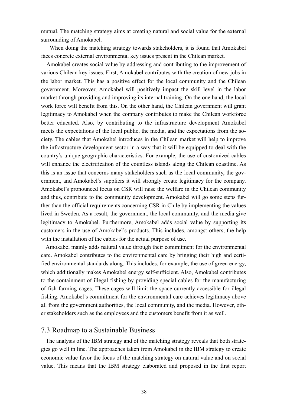mutual. The matching strategy aims at creating natural and social value for the external surrounding of Amokabel.

 When doing the matching strategy towards stakeholders, it is found that Amokabel faces concrete external environmental key issues present in the Chilean market.

 Amokabel creates social value by addressing and contributing to the improvement of various Chilean key issues. First, Amokabel contributes with the creation of new jobs in the labor market. This has a positive effect for the local community and the Chilean government. Moreover, Amokabel will positively impact the skill level in the labor market through providing and improving its internal training. On the one hand, the local work force will benefit from this. On the other hand, the Chilean government will grant legitimacy to Amokabel when the company contributes to make the Chilean workforce better educated. Also, by contributing to the infrastructure development Amokabel meets the expectations of the local public, the media, and the expectations from the society. The cables that Amokabel introduces in the Chilean market will help to improve the infrastructure development sector in a way that it will be equipped to deal with the country's unique geographic characteristics. For example, the use of customized cables will enhance the electrification of the countless islands along the Chilean coastline. As this is an issue that concerns many stakeholders such as the local community, the government, and Amokabel's suppliers it will strongly create legitimacy for the company. Amokabel's pronounced focus on CSR will raise the welfare in the Chilean community and thus, contribute to the community development. Amokabel will go some steps further than the official requirements concerning CSR in Chile by implementing the values lived in Sweden. As a result, the government, the local community, and the media give legitimacy to Amokabel. Furthermore, Amokabel adds social value by supporting its customers in the use of Amokabel's products. This includes, amongst others, the help with the installation of the cables for the actual purpose of use.

 Amokabel mainly adds natural value through their commitment for the environmental care. Amokabel contributes to the environmental care by bringing their high and certified environmental standards along. This includes, for example, the use of green energy, which additionally makes Amokabel energy self-sufficient. Also, Amokabel contributes to the containment of illegal fishing by providing special cables for the manufacturing of fish-farming cages. These cages will limit the space currently accessible for illegal fishing. Amokabel's commitment for the environmental care achieves legitimacy above all from the government authorities, the local community, and the media. However, other stakeholders such as the employees and the customers benefit from it as well.

#### 7.3.Roadmap to a Sustainable Business

The analysis of the IBM strategy and of the matching strategy reveals that both strategies go well in line. The approaches taken from Amokabel in the IBM strategy to create economic value favor the focus of the matching strategy on natural value and on social value. This means that the IBM strategy elaborated and proposed in the first report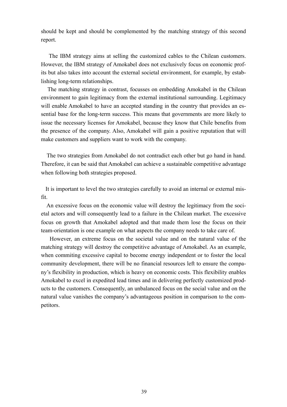should be kept and should be complemented by the matching strategy of this second report.

 The IBM strategy aims at selling the customized cables to the Chilean customers. However, the IBM strategy of Amokabel does not exclusively focus on economic profits but also takes into account the external societal environment, for example, by establishing long-term relationships.

 The matching strategy in contrast, focusses on embedding Amokabel in the Chilean environment to gain legitimacy from the external institutional surrounding. Legitimacy will enable Amokabel to have an accepted standing in the country that provides an essential base for the long-term success. This means that governments are more likely to issue the necessary licenses for Amokabel, because they know that Chile benefits from the presence of the company. Also, Amokabel will gain a positive reputation that will make customers and suppliers want to work with the company.

 The two strategies from Amokabel do not contradict each other but go hand in hand. Therefore, it can be said that Amokabel can achieve a sustainable competitive advantage when following both strategies proposed.

 It is important to level the two strategies carefully to avoid an internal or external misfit.

 An excessive focus on the economic value will destroy the legitimacy from the societal actors and will consequently lead to a failure in the Chilean market. The excessive focus on growth that Amokabel adopted and that made them lose the focus on their team-orientation is one example on what aspects the company needs to take care of.

 However, an extreme focus on the societal value and on the natural value of the matching strategy will destroy the competitive advantage of Amokabel. As an example, when commiting excessive capital to become energy independent or to foster the local community development, there will be no financial resources left to ensure the company's flexibility in production, which is heavy on economic costs. This flexibility enables Amokabel to excel in expedited lead times and in delivering perfectly customized products to the customers. Consequently, an unbalanced focus on the social value and on the natural value vanishes the company's advantageous position in comparison to the competitors.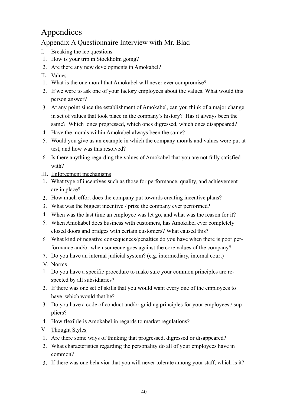# Appendices

## Appendix A Questionnaire Interview with Mr. Blad

- I. Breaking the ice questions
- 1. How is your trip in Stockholm going?
- 2. Are there any new developments in Amokabel?
- II. Values
- 1. What is the one moral that Amokabel will never ever compromise?
- 2. If we were to ask one of your factory employees about the values. What would this person answer?
- 3. At any point since the establishment of Amokabel, can you think of a major change in set of values that took place in the company's history? Has it always been the same? Which ones progressed, which ones digressed, which ones disappeared?
- 4. Have the morals within Amokabel always been the same?
- 5. Would you give us an example in which the company morals and values were put at test, and how was this resolved?
- 6. Is there anything regarding the values of Amokabel that you are not fully satisfied with?
- III. Enforcement mechanisms
- 1. What type of incentives such as those for performance, quality, and achievement are in place?
- 2. How much effort does the company put towards creating incentive plans?
- 3. What was the biggest incentive / prize the company ever performed?
- 4. When was the last time an employee was let go, and what was the reason for it?
- 5. When Amokabel does business with customers, has Amokabel ever completely closed doors and bridges with certain customers? What caused this?
- 6. What kind of negative consequences/penalties do you have when there is poor performance and/or when someone goes against the core values of the company?
- 7. Do you have an internal judicial system? (e.g. intermediary, internal court)
- IV. Norms
- 1. Do you have a specific procedure to make sure your common principles are respected by all subsidiaries?
- 2. If there was one set of skills that you would want every one of the employees to have, which would that be?
- 3. Do you have a code of conduct and/or guiding principles for your employees / suppliers?
- 4. How flexible is Amokabel in regards to market regulations?
- V. Thought Styles
- 1. Are there some ways of thinking that progressed, digressed or disappeared?
- 2. What characteristics regarding the personality do all of your employees have in common?
- 3. If there was one behavior that you will never tolerate among your staff, which is it?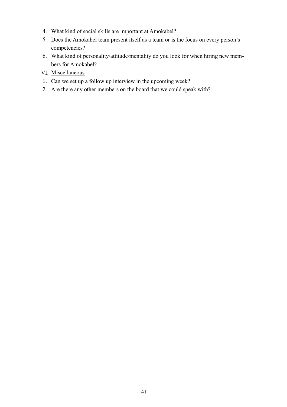- 4. What kind of social skills are important at Amokabel?
- 5. Does the Amokabel team present itself as a team or is the focus on every person's competencies?
- 6. What kind of personality/attitude/mentality do you look for when hiring new members for Amokabel?
- VI. Miscellaneous
- 1. Can we set up a follow up interview in the upcoming week?
- 2. Are there any other members on the board that we could speak with?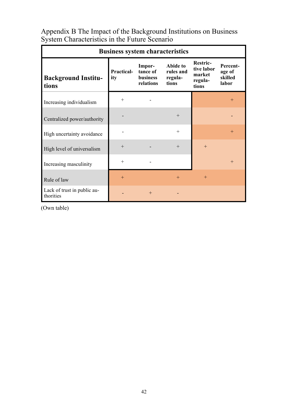|                                          | <b>Business system characteristics</b> |                                             |                                           |                                                             |                                        |
|------------------------------------------|----------------------------------------|---------------------------------------------|-------------------------------------------|-------------------------------------------------------------|----------------------------------------|
| <b>Background Institu-</b><br>tions      | <b>Practical-</b><br>ity               | Impor-<br>tance of<br>business<br>relations | Abide to<br>rules and<br>regula-<br>tions | <b>Restric-</b><br>tive labor<br>market<br>regula-<br>tions | Percent-<br>age of<br>skilled<br>labor |
| Increasing individualism                 | $^{+}$                                 |                                             |                                           |                                                             | $^{+}$                                 |
| Centralized power/authority              |                                        |                                             | $+$                                       |                                                             |                                        |
| High uncertainty avoidance               |                                        |                                             | $^{+}$                                    |                                                             | $^{+}$                                 |
| High level of universalism               | $^{+}$                                 |                                             | $^{+}$                                    | $+$                                                         |                                        |
| Increasing masculinity                   | $^{+}$                                 |                                             |                                           |                                                             | $+$                                    |
| Rule of law                              | $+$                                    |                                             | $^{+}$                                    | $+$                                                         |                                        |
| Lack of trust in public au-<br>thorities |                                        | $^{+}$                                      |                                           |                                                             |                                        |

Appendix B The Impact of the Background Institutions on Business System Characteristics in the Future Scenario

(Own table)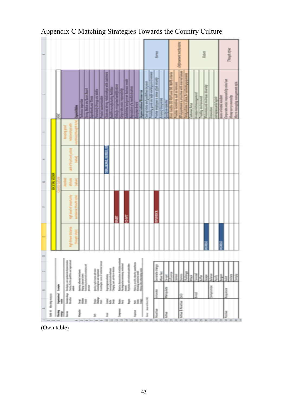|    |                        |   |                                                                                       |                                        |                                                                                                                                                                                                                                                                                                                                                                                                                                                             |   |  |                                                                                                      |              |                                                                                         |                                                                                                                                  |                                                                        |                             |                                                                     |                            |               | <b>Roma</b>                                                                                                                            |               |                     |                                                                        |                                     | <b>Enforcement</b> me                      |                                                        | Value |                             |                       |                              |                  |                       | Though riples         |                        |                   |          |
|----|------------------------|---|---------------------------------------------------------------------------------------|----------------------------------------|-------------------------------------------------------------------------------------------------------------------------------------------------------------------------------------------------------------------------------------------------------------------------------------------------------------------------------------------------------------------------------------------------------------------------------------------------------------|---|--|------------------------------------------------------------------------------------------------------|--------------|-----------------------------------------------------------------------------------------|----------------------------------------------------------------------------------------------------------------------------------|------------------------------------------------------------------------|-----------------------------|---------------------------------------------------------------------|----------------------------|---------------|----------------------------------------------------------------------------------------------------------------------------------------|---------------|---------------------|------------------------------------------------------------------------|-------------------------------------|--------------------------------------------|--------------------------------------------------------|-------|-----------------------------|-----------------------|------------------------------|------------------|-----------------------|-----------------------|------------------------|-------------------|----------|
|    |                        |   |                                                                                       | <b><i><i><b>Spakinisty</b></i></i></b> | echologi expertise                                                                                                                                                                                                                                                                                                                                                                                                                                          |   |  | Jerog Staki and Loan Board<br>Expedited Load Times<br>Product customization<br>Product customization | F            | Tose and strong relationships with a<br>Canbia manufacturing futilities                 | diskolo recognisat errefession<br>Corporatus sola responsibility<br>Entalished and provincianism<br>Hapatalov of a reedic hashed |                                                                        |                             | <b>Property News</b>                                                | <b>Openinthend America</b> |               | ticke of entities and guidelines in place<br>Freeding game and right working environment<br>Freeding angleppers stated of places right |               | knowing in expected | Firm<br>001100 PM 00120 PM 00120 PM<br><b><i><u>Adaptivene</u></i></b> | Precider in entires such as however | Wileystered is possible with interestimate | help is the index for a long papers in<br>Antonio from |       | <b>Vantaured</b> management | <b>Sulfujunivirum</b> | Weissen and embrant directly | <b>Helpsides</b> | entreprenantial quilt | <b>Man Holey Care</b> | wollar, more appointed | Money savy mestal | Mary-not |
|    |                        |   |                                                                                       |                                        |                                                                                                                                                                                                                                                                                                                                                                                                                                                             |   |  |                                                                                                      |              |                                                                                         |                                                                                                                                  |                                                                        |                             |                                                                     |                            |               |                                                                                                                                        |               |                     |                                                                        |                                     |                                            |                                                        |       |                             |                       |                              |                  |                       |                       |                        |                   |          |
|    |                        |   |                                                                                       |                                        |                                                                                                                                                                                                                                                                                                                                                                                                                                                             |   |  |                                                                                                      | <b>THEFT</b> |                                                                                         |                                                                                                                                  |                                                                        |                             |                                                                     |                            |               |                                                                                                                                        |               |                     |                                                                        |                                     |                                            |                                                        |       |                             |                       |                              |                  |                       |                       |                        |                   |          |
|    | Į<br>ŧ                 |   |                                                                                       |                                        |                                                                                                                                                                                                                                                                                                                                                                                                                                                             |   |  |                                                                                                      |              |                                                                                         |                                                                                                                                  |                                                                        |                             |                                                                     |                            |               |                                                                                                                                        |               |                     |                                                                        |                                     |                                            |                                                        |       |                             |                       |                              |                  |                       |                       |                        |                   |          |
|    |                        |   |                                                                                       |                                        |                                                                                                                                                                                                                                                                                                                                                                                                                                                             |   |  |                                                                                                      |              |                                                                                         |                                                                                                                                  |                                                                        | ā                           |                                                                     |                            |               |                                                                                                                                        | <b>MANDAY</b> |                     |                                                                        |                                     |                                            |                                                        |       |                             |                       |                              |                  |                       |                       |                        |                   |          |
|    |                        |   |                                                                                       |                                        |                                                                                                                                                                                                                                                                                                                                                                                                                                                             |   |  |                                                                                                      |              |                                                                                         |                                                                                                                                  |                                                                        |                             |                                                                     |                            |               |                                                                                                                                        |               |                     |                                                                        |                                     |                                            |                                                        |       |                             |                       | I                            |                  |                       | Ě                     |                        |                   |          |
| a. |                        |   |                                                                                       |                                        |                                                                                                                                                                                                                                                                                                                                                                                                                                                             |   |  |                                                                                                      |              |                                                                                         |                                                                                                                                  |                                                                        |                             |                                                                     |                            |               |                                                                                                                                        |               |                     |                                                                        |                                     |                                            |                                                        |       |                             |                       |                              |                  |                       |                       |                        |                   |          |
|    |                        |   | <b>Drokiply are probed destroyees radia</b><br>Chesty Bestie, optician and experiment |                                        | $\begin{array}{l} \frac{1}{2} \log \left( \frac{1}{2} \log \left( \frac{1}{2} \log \left( \frac{1}{2} \log \left( \frac{1}{2} \log \left( \frac{1}{2} \log \left( \frac{1}{2} \log \left( \frac{1}{2} \log \left( \frac{1}{2} \log \left( \frac{1}{2} \log \left( \frac{1}{2} \log \left( \frac{1}{2} \log \left( \frac{1}{2} \log \left( \frac{1}{2} \log \left( \frac{1}{2} \log \left( \frac{1}{2} \log \left( \frac{1}{2} \log \left( \frac{1}{2} \log$ |   |  |                                                                                                      |              | Digiting members)<br>Lowering instal and statement<br>Charging print, suitement disease |                                                                                                                                  | Bining the symbolic of malig<br>Pacific and announced malign<br>domain | Neptung viti tonoiced suick | Managarah atau ke-panis<br>Managarahan mala<br>Managarah atau panis |                            |               |                                                                                                                                        | www.eve       | More first          | <b>Service</b><br>Ě                                                    |                                     |                                            | <b>Service</b>                                         | Î     | ł                           | ł                     | H                            | 쵥                | ţ                     | H                     | 풍출                     |                   | 重        |
|    |                        | Î |                                                                                       |                                        |                                                                                                                                                                                                                                                                                                                                                                                                                                                             | l |  |                                                                                                      |              |                                                                                         |                                                                                                                                  |                                                                        |                             |                                                                     |                            |               |                                                                                                                                        | month         |                     | Manpolet                                                               |                                     |                                            |                                                        |       | le                          |                       |                              | internation;     |                       |                       | 主义                     |                   |          |
|    | fuld of Masking morphy | ļ | an dag                                                                                |                                        | ИI                                                                                                                                                                                                                                                                                                                                                                                                                                                          |   |  |                                                                                                      | 181 111 11   |                                                                                         |                                                                                                                                  |                                                                        | $\frac{5}{4}$               | 33.8                                                                |                            |               |                                                                                                                                        |               |                     |                                                                        |                                     | $\bar{\pi}$                                |                                                        |       |                             |                       |                              |                  |                       |                       |                        |                   |          |
|    |                        | I | el s                                                                                  |                                        | ł                                                                                                                                                                                                                                                                                                                                                                                                                                                           |   |  |                                                                                                      | 1            |                                                                                         |                                                                                                                                  | l                                                                      |                             | ļ                                                                   |                            | her hole/or/8 |                                                                                                                                        | <b>Report</b> | Ŀ                   |                                                                        |                                     | Adien & Reading                            |                                                        |       |                             |                       |                              |                  |                       |                       | <b>Fairly</b>          |                   |          |
|    |                        |   |                                                                                       |                                        |                                                                                                                                                                                                                                                                                                                                                                                                                                                             |   |  |                                                                                                      |              |                                                                                         |                                                                                                                                  |                                                                        |                             |                                                                     |                            |               |                                                                                                                                        | 宋<br>π        |                     | $\overline{1}$                                                         |                                     | F                                          |                                                        |       |                             |                       |                              |                  |                       |                       | $\equiv$               | E                 |          |

Appendix C Matching Strategies Towards the Country Culture

(Own table)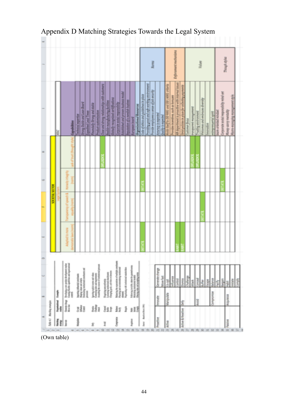|   |                            |                      |    |                                                                                            |                     |                                                                                                                                                                                                                                                                                                                                                                                                                             |                             |                                     |                                                                                                             |   |                                                                                             |                                    |                                                                                  |                                       |                                  |                                                                                      |                          |                                     |                                                                                    | Roman of |                      |                            |                                        |                                      | <b>Enforcement machinisms</b>                           |                                                                                      |                          |                               |                    | Volum                           |           |                         |                       |                                        | Though ztyles        |                                                           |  |
|---|----------------------------|----------------------|----|--------------------------------------------------------------------------------------------|---------------------|-----------------------------------------------------------------------------------------------------------------------------------------------------------------------------------------------------------------------------------------------------------------------------------------------------------------------------------------------------------------------------------------------------------------------------|-----------------------------|-------------------------------------|-------------------------------------------------------------------------------------------------------------|---|---------------------------------------------------------------------------------------------|------------------------------------|----------------------------------------------------------------------------------|---------------------------------------|----------------------------------|--------------------------------------------------------------------------------------|--------------------------|-------------------------------------|------------------------------------------------------------------------------------|----------|----------------------|----------------------------|----------------------------------------|--------------------------------------|---------------------------------------------------------|--------------------------------------------------------------------------------------|--------------------------|-------------------------------|--------------------|---------------------------------|-----------|-------------------------|-----------------------|----------------------------------------|----------------------|-----------------------------------------------------------|--|
|   |                            |                      | ă  | Capabilities                                                                               | Technical expertise | <b>Doug Stable and Lean Board</b>                                                                                                                                                                                                                                                                                                                                                                                           | <b>Copydined Lead Times</b> | <b>Pleaseduly Strong and stable</b> | <b>Ander reservation</b>                                                                                    |   | Class and strong relationships with cuttomers<br>flexible manufacturing furthing            | Stebally recognized certifications | Corporate social responsibility                                                  | Established and proven business model | Republic of a predict business   | <b>European board</b>                                                                | Organizational Assources | code of enhanced publishes in place | hooding good and rafe working morosoment<br>hoodin maplayers a news of Job Jerushy |          | Accuracy is expected | <b>Senity is reproduct</b> | theme 2009 007 PHS 2009 002 10 Version | Provides incentives, such as bonuses | <b>RR department is proscible with Internal listers</b> | the property of the control of the control of the control of the control of the con- | <b>Justiceser flecus</b> | <b>Interpreted monopresed</b> | Traility endroment | Welcomes and embraces diversity | exercises | release lotman property | tram-oriented mindard | arporate notal responsibility mind-art | Money-savry mentally | www.ent.np/in<br><b>Pouton Cult</b> o<br><b>Marry-mon</b> |  |
|   |                            |                      |    |                                                                                            |                     |                                                                                                                                                                                                                                                                                                                                                                                                                             |                             |                                     |                                                                                                             |   |                                                                                             |                                    |                                                                                  |                                       |                                  |                                                                                      |                          |                                     |                                                                                    |          |                      |                            |                                        |                                      |                                                         |                                                                                      |                          |                               |                    |                                 |           |                         |                       |                                        |                      |                                                           |  |
|   |                            |                      |    |                                                                                            |                     |                                                                                                                                                                                                                                                                                                                                                                                                                             |                             |                                     |                                                                                                             |   |                                                                                             |                                    |                                                                                  |                                       |                                  |                                                                                      |                          |                                     |                                                                                    |          |                      |                            |                                        |                                      |                                                         |                                                                                      |                          |                               |                    |                                 |           |                         |                       |                                        |                      |                                                           |  |
|   |                            | <b>VOCUTAL MCTOR</b> |    |                                                                                            |                     |                                                                                                                                                                                                                                                                                                                                                                                                                             |                             |                                     |                                                                                                             |   |                                                                                             |                                    |                                                                                  |                                       |                                  |                                                                                      |                          |                                     |                                                                                    |          |                      |                            |                                        |                                      |                                                         |                                                                                      |                          |                               |                    |                                 |           |                         |                       |                                        |                      |                                                           |  |
|   |                            |                      |    |                                                                                            |                     |                                                                                                                                                                                                                                                                                                                                                                                                                             |                             |                                     |                                                                                                             |   |                                                                                             |                                    |                                                                                  |                                       |                                  |                                                                                      |                          |                                     |                                                                                    |          |                      |                            |                                        |                                      |                                                         |                                                                                      |                          |                               |                    |                                 |           |                         |                       |                                        |                      |                                                           |  |
| ٠ |                            |                      |    |                                                                                            |                     |                                                                                                                                                                                                                                                                                                                                                                                                                             |                             |                                     |                                                                                                             |   |                                                                                             |                                    |                                                                                  |                                       |                                  |                                                                                      |                          |                                     |                                                                                    |          |                      |                            |                                        |                                      |                                                         |                                                                                      |                          |                               |                    |                                 |           |                         |                       |                                        |                      |                                                           |  |
|   |                            |                      |    | Destring cars point destynet rades<br>Coateg facility applicate and synthetical<br>contrib |                     | $\begin{tabular}{l p{0.5em} } \hline \textbf{1} & \textbf{1} & \textbf{1} & \textbf{1} & \textbf{1} & \textbf{1} & \textbf{1} & \textbf{1} & \textbf{1} & \textbf{1} & \textbf{1} & \textbf{1} & \textbf{1} & \textbf{1} & \textbf{1} & \textbf{1} & \textbf{1} & \textbf{1} & \textbf{1} & \textbf{1} & \textbf{1} & \textbf{1} & \textbf{1} & \textbf{1} & \textbf{1} & \textbf{1} & \textbf{1} & \textbf{1} & \textbf{1$ |                             |                                     | lgeolog suplicio name and when<br>Construing takes and magnesium<br>Annabing the courses of instalational p |   | Depining socialisming<br>Lorentag instituted plackaums<br>Charging pub, set-time or denotes |                                    | Balancing the expectations of multiple con-<br>Phototopy and assumed<br>any out- |                                       | Reprinting with instituted mini- | fotoria incide starte praté<br>Mascula incident code<br>Orașul site est enrigia anni |                          |                                     |                                                                                    |          | Generate change      | More field                 | See of                                 | Auerce                               | <b>SHANN</b>                                            | <b>Handle</b>                                                                        | <b>Publican</b>          | Ĕ                             | <b>DESPERT</b>     | 최                               | 喜菜        | 홟                       |                       | ings.                                  |                      | a šķ                                                      |  |
|   |                            |                      | İ  |                                                                                            |                     |                                                                                                                                                                                                                                                                                                                                                                                                                             |                             |                                     |                                                                                                             |   |                                                                                             |                                    |                                                                                  | Į                                     |                                  |                                                                                      |                          |                                     |                                                                                    |          | Innovator            |                            | Manipulate                             |                                      |                                                         | 壴                                                                                    |                          |                               | I                  |                                 |           | Miscobase               |                       |                                        | kopietos             |                                                           |  |
|   |                            |                      | ļ, | Generatory<br>Mexica                                                                       |                     | Ħ,                                                                                                                                                                                                                                                                                                                                                                                                                          |                             |                                     |                                                                                                             |   |                                                                                             |                                    |                                                                                  |                                       |                                  | dia dan din deng                                                                     |                          |                                     |                                                                                    |          |                      |                            |                                        |                                      |                                                         |                                                                                      |                          |                               |                    |                                 |           |                         |                       |                                        |                      |                                                           |  |
|   | Talie 4 / Man bing amazing |                      | H  | Î                                                                                          | İ                   |                                                                                                                                                                                                                                                                                                                                                                                                                             |                             |                                     |                                                                                                             | I |                                                                                             |                                    | į                                                                                |                                       |                                  | ļ                                                                                    |                          | loss Andallia (19)                  |                                                                                    |          | Proective            |                            | <b>AGNA</b>                            |                                      |                                                         | Active & Reactive                                                                    |                          |                               |                    |                                 |           |                         |                       |                                        | Passive              |                                                           |  |
|   |                            |                      |    |                                                                                            |                     |                                                                                                                                                                                                                                                                                                                                                                                                                             |                             |                                     |                                                                                                             |   |                                                                                             |                                    |                                                                                  |                                       |                                  |                                                                                      |                          |                                     | 自我                                                                                 |          | 司司                   |                            | 同                                      |                                      |                                                         | 常常                                                                                   |                          |                               |                    | ×                               |           |                         |                       |                                        | 齿                    |                                                           |  |

# Appendix D Matching Strategies Towards the Legal System

(Own table)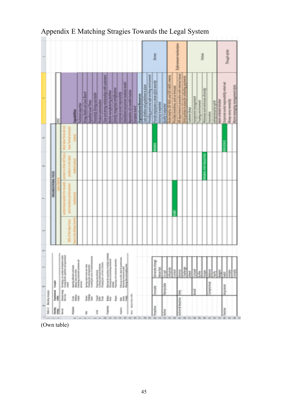|                               |                      |   |                                                                                                                                                                                                                                                                                                                                                                                                         |                                                                                                                                                                                                                                                                                                                                                                                                                                                                        |                     |                             |                                                                                                                                                                                                                                                                                                                                                                                                                                                                                                                              |                                  |                                                                                       |                             |                                                       |                                     |                                       |                                     |                                  |                         |                                 |                                               |                                              | ļ                                       |                          |                 |                                        |                                      | Enforcement mer                                          |                                                        |                    |                       |                                  | j                                |                     |                       |   |                              | <b><i>Chronyl rights</i></b> |             |
|-------------------------------|----------------------|---|---------------------------------------------------------------------------------------------------------------------------------------------------------------------------------------------------------------------------------------------------------------------------------------------------------------------------------------------------------------------------------------------------------|------------------------------------------------------------------------------------------------------------------------------------------------------------------------------------------------------------------------------------------------------------------------------------------------------------------------------------------------------------------------------------------------------------------------------------------------------------------------|---------------------|-----------------------------|------------------------------------------------------------------------------------------------------------------------------------------------------------------------------------------------------------------------------------------------------------------------------------------------------------------------------------------------------------------------------------------------------------------------------------------------------------------------------------------------------------------------------|----------------------------------|---------------------------------------------------------------------------------------|-----------------------------|-------------------------------------------------------|-------------------------------------|---------------------------------------|-------------------------------------|----------------------------------|-------------------------|---------------------------------|-----------------------------------------------|----------------------------------------------|-----------------------------------------|--------------------------|-----------------|----------------------------------------|--------------------------------------|----------------------------------------------------------|--------------------------------------------------------|--------------------|-----------------------|----------------------------------|----------------------------------|---------------------|-----------------------|---|------------------------------|------------------------------|-------------|
|                               |                      | ₿ |                                                                                                                                                                                                                                                                                                                                                                                                         | Copubilities                                                                                                                                                                                                                                                                                                                                                                                                                                                           | Technical expertise | <b>Deep Stable and Jean</b> | <b>Loyatord Lead Times</b>                                                                                                                                                                                                                                                                                                                                                                                                                                                                                                   | <b>Vester bas Beads</b> Area and | <b>Product custom basical</b>                                                         | low and strong relationship | <b>National Gourantee Report</b>                      | <b>Robert Description of Design</b> | <b>Utilizados including Abstracts</b> | making the property problems and    | Reputation of a needlish busines | <b>Currigenze</b> board | <b>Organizational Extension</b> | <b>College Colors and guidelines in place</b> | Providing good and sub-worlding restructures | hypothe employees a sense of the mounty | <b>Branday is extend</b> | <b>Contract</b> | Notes to the UO 9001 and UO 14001 more | Provider incentives, such as benuses | <b>RE department is prospective with interest issues</b> | <b>POWER</b><br>britt policies in place for collecting | <b>Tanker Boos</b> | Drasporest monogeneet | <b>Investigation probability</b> | through sold and reach diversity | <b>RISORDER</b>     | protegoresantal quint |   | <b>Finding Hole Antuiter</b> | Mong-sony weeks              | Mazo-manage |
|                               |                      |   |                                                                                                                                                                                                                                                                                                                                                                                                         |                                                                                                                                                                                                                                                                                                                                                                                                                                                                        |                     |                             |                                                                                                                                                                                                                                                                                                                                                                                                                                                                                                                              |                                  |                                                                                       |                             |                                                       |                                     |                                       |                                     |                                  |                         |                                 |                                               |                                              | i<br>L                                  |                          |                 |                                        |                                      |                                                          |                                                        |                    |                       |                                  |                                  |                     |                       |   | Ě                            |                              |             |
|                               |                      |   |                                                                                                                                                                                                                                                                                                                                                                                                         |                                                                                                                                                                                                                                                                                                                                                                                                                                                                        |                     |                             |                                                                                                                                                                                                                                                                                                                                                                                                                                                                                                                              |                                  |                                                                                       |                             |                                                       |                                     |                                       |                                     |                                  |                         |                                 |                                               |                                              |                                         |                          |                 |                                        |                                      |                                                          |                                                        |                    |                       |                                  | <b>EXISTEN AND CALLEND</b>       |                     |                       |   |                              |                              |             |
|                               | GREANUATIONAL FIELDS |   |                                                                                                                                                                                                                                                                                                                                                                                                         |                                                                                                                                                                                                                                                                                                                                                                                                                                                                        |                     |                             |                                                                                                                                                                                                                                                                                                                                                                                                                                                                                                                              |                                  |                                                                                       |                             |                                                       |                                     |                                       |                                     |                                  |                         |                                 |                                               |                                              |                                         |                          |                 |                                        | j                                    |                                                          |                                                        |                    |                       |                                  |                                  |                     |                       |   |                              |                              |             |
|                               |                      |   |                                                                                                                                                                                                                                                                                                                                                                                                         |                                                                                                                                                                                                                                                                                                                                                                                                                                                                        |                     |                             |                                                                                                                                                                                                                                                                                                                                                                                                                                                                                                                              |                                  |                                                                                       |                             |                                                       |                                     |                                       |                                     |                                  |                         |                                 |                                               |                                              |                                         |                          |                 |                                        |                                      |                                                          |                                                        |                    |                       |                                  |                                  |                     |                       |   |                              |                              |             |
|                               |                      |   |                                                                                                                                                                                                                                                                                                                                                                                                         |                                                                                                                                                                                                                                                                                                                                                                                                                                                                        |                     |                             |                                                                                                                                                                                                                                                                                                                                                                                                                                                                                                                              |                                  |                                                                                       |                             |                                                       |                                     |                                       |                                     |                                  |                         |                                 |                                               |                                              |                                         |                          |                 |                                        |                                      |                                                          |                                                        |                    |                       |                                  |                                  |                     |                       |   |                              |                              |             |
|                               |                      |   | Design car poly Anton<br>Control Anton                                                                                                                                                                                                                                                                                                                                                                  | $\begin{array}{l} \displaystyle \frac{\sqrt{2}}{2} \log \left( \frac{1}{2} \log \left( \frac{1}{2} \log \left( \frac{1}{2} \log \left( \frac{1}{2} \log \left( \frac{1}{2} \log \left( \frac{1}{2} \log \left( \frac{1}{2} \log \left( \frac{1}{2} \log \left( \frac{1}{2} \log \left( \frac{1}{2} \log \left( \frac{1}{2} \log \left( \frac{1}{2} \log \left( \frac{1}{2} \log \left( \frac{1}{2} \log \left( \frac{1}{2} \log \left( \frac{1}{2} \log \left( \frac{$ |                     |                             | $\begin{array}{l} \displaystyle \frac{1}{2} \cosh \left( \frac{\pi}{2} \right) = \cosh \left( \frac{\pi}{2} \right) \\ \displaystyle \frac{1}{2} \cosh \left( \frac{\pi}{2} \right) = \cosh \left( \frac{\pi}{2} \right) \\ \displaystyle \frac{1}{2} \cosh \left( \frac{\pi}{2} \right) = \cosh \left( \frac{\pi}{2} \right) \\ \displaystyle \frac{1}{2} \cosh \left( \frac{\pi}{2} \right) = \cosh \left( \frac{\pi}{2} \right) \\ \displaystyle \frac{1}{2} \cosh \left( \frac{\pi}{2} \right) = \cosh \left( \frac{\pi$ |                                  | Digiting tenesting<br>Lowering contexts statement<br>Charging prints of their alleady |                             | Manita de considere el teó<br>Paulo y el successivo y | to property and the following       | Many solds similar                    | <b>Brider of the local district</b> |                                  |                         |                                 |                                               |                                              | Streame change                          | Move fast                | Ħ               | <b>Butter</b>                          |                                      |                                                          |                                                        | 죍                  | <b>S</b>              | ł                                | ŝ                                | <b>DARK</b>         |                       | 請 | ヨ                            | Ì                            |             |
|                               |                      |   | $\begin{array}{c} \frac{1}{2} & \frac{1}{2} \frac{1}{2} \frac{1}{2} \frac{1}{2} \frac{1}{2} \frac{1}{2} \frac{1}{2} \frac{1}{2} \frac{1}{2} \frac{1}{2} \frac{1}{2} \frac{1}{2} \frac{1}{2} \frac{1}{2} \frac{1}{2} \frac{1}{2} \frac{1}{2} \frac{1}{2} \frac{1}{2} \frac{1}{2} \frac{1}{2} \frac{1}{2} \frac{1}{2} \frac{1}{2} \frac{1}{2} \frac{1}{2} \frac{1}{2} \frac{1}{2} \frac{1}{2} \frac$<br>1 |                                                                                                                                                                                                                                                                                                                                                                                                                                                                        |                     |                             |                                                                                                                                                                                                                                                                                                                                                                                                                                                                                                                              |                                  |                                                                                       |                             |                                                       | Į                                   |                                       |                                     |                                  |                         |                                 |                                               |                                              | <b>Alphalous</b>                        |                          | Manipulate      |                                        |                                      |                                                          |                                                        |                    | <b>Ayold</b>          |                                  |                                  | <b>Municipality</b> |                       |   | <b>Book</b>                  |                              |             |
|                               |                      |   |                                                                                                                                                                                                                                                                                                                                                                                                         | 由                                                                                                                                                                                                                                                                                                                                                                                                                                                                      |                     |                             |                                                                                                                                                                                                                                                                                                                                                                                                                                                                                                                              |                                  |                                                                                       |                             |                                                       |                                     |                                       |                                     |                                  |                         |                                 |                                               |                                              |                                         |                          |                 |                                        |                                      | 鸾                                                        |                                                        |                    |                       |                                  |                                  |                     |                       |   |                              |                              |             |
| <b>Sale of Machine mergin</b> |                      | 抽 |                                                                                                                                                                                                                                                                                                                                                                                                         |                                                                                                                                                                                                                                                                                                                                                                                                                                                                        |                     |                             |                                                                                                                                                                                                                                                                                                                                                                                                                                                                                                                              |                                  |                                                                                       |                             |                                                       |                                     |                                       |                                     |                                  |                         |                                 |                                               |                                              | Protectives                             |                          | ł               |                                        |                                      | Artist & Readlise                                        |                                                        |                    |                       |                                  |                                  |                     |                       |   | Panishe                      |                              |             |
|                               |                      |   |                                                                                                                                                                                                                                                                                                                                                                                                         |                                                                                                                                                                                                                                                                                                                                                                                                                                                                        |                     |                             |                                                                                                                                                                                                                                                                                                                                                                                                                                                                                                                              |                                  |                                                                                       |                             |                                                       |                                     |                                       |                                     |                                  |                         |                                 |                                               |                                              | 索                                       |                          | $\mathbb{R}$    |                                        |                                      | $\overline{n}$                                           |                                                        | ь                  |                       |                                  |                                  |                     |                       |   | 크                            |                              |             |

Appendix E Matching Stragies Towards the Legal System

(Own table)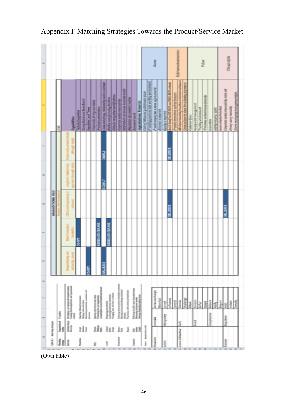|               |                          |                    |                   |                                                                              |                          |                                               |                             |                                      |                                                                                                                                                    |                                                                             |                                                                             |                                          |                                                          |                                           |                                       |                                 |                              |                                                                                       | <b>R</b>      |                                                                    |                            |                                          |                                 | <b>School Hard Point Arts</b>                    |                                                                   |   |                           |                      | Volum                          |          |                     |    |                                    | Though zyles         |                              |
|---------------|--------------------------|--------------------|-------------------|------------------------------------------------------------------------------|--------------------------|-----------------------------------------------|-----------------------------|--------------------------------------|----------------------------------------------------------------------------------------------------------------------------------------------------|-----------------------------------------------------------------------------|-----------------------------------------------------------------------------|------------------------------------------|----------------------------------------------------------|-------------------------------------------|---------------------------------------|---------------------------------|------------------------------|---------------------------------------------------------------------------------------|---------------|--------------------------------------------------------------------|----------------------------|------------------------------------------|---------------------------------|--------------------------------------------------|-------------------------------------------------------------------|---|---------------------------|----------------------|--------------------------------|----------|---------------------|----|------------------------------------|----------------------|------------------------------|
|               |                          |                    | ă                 | Capabilities                                                                 | <b>Ashakui</b> expective | <b>Drony Stable and Lean Board</b>            | <b>Comment Least Timers</b> | <b>Floanskilly Strong and stable</b> | <b>Product custom/zenore</b>                                                                                                                       | Characterizing minimality with culturers<br>Pathle manufacturing facilities |                                                                             | <b>Diskuly recognized certifications</b> | <b>Groups and want about the</b>                         | <b>Leablest and proven business model</b> | <b>Inpotetion of a needsh hustern</b> | <b>Everyon heard</b>            | Organizational Assessors     | Code of ethics and guidelines in place<br>Providing good and says working analous was |               | Provide amployees a sense of job security.<br>Assuming is aspected | <b>Quility</b> is reported | Rivin bar/to 50 NAT and DD 1400 criteria | Pontifer incredings are bonuser | All department is providing with internal issues | Reitz politier in place for collecting payments<br>Customer focus |   | <b>Distantine painted</b> | Trusting environment | <b>BENVIS CREW WAS DRIVING</b> | HADVADIA | entrepresental gent |    | se papa dipipentely ppose armed at | Money-strey mentally | <b>Vitim Bulliview duty)</b> |
|               |                          |                    |                   |                                                                              |                          |                                               |                             |                                      |                                                                                                                                                    | COMPLY                                                                      |                                                                             |                                          |                                                          |                                           |                                       |                                 |                              |                                                                                       |               |                                                                    |                            | <b>SKANDICK</b>                          |                                 |                                                  |                                                                   |   |                           |                      |                                |          |                     |    |                                    |                      |                              |
|               |                          |                    |                   |                                                                              |                          |                                               |                             |                                      |                                                                                                                                                    | <b>COMPLY</b>                                                               |                                                                             |                                          |                                                          |                                           |                                       |                                 |                              |                                                                                       |               |                                                                    |                            |                                          |                                 |                                                  |                                                                   |   |                           |                      |                                |          |                     |    |                                    |                      |                              |
|               |                          | GRAMMATIONAL FIELD |                   |                                                                              |                          |                                               |                             |                                      |                                                                                                                                                    |                                                                             |                                                                             |                                          |                                                          |                                           |                                       |                                 |                              |                                                                                       |               |                                                                    |                            | <b>MAILBIG</b>                           |                                 |                                                  |                                                                   |   |                           |                      |                                |          |                     |    | <b>MURKE</b>                       |                      |                              |
|               |                          |                    |                   |                                                                              | eser<br>S                |                                               |                             |                                      | <b>KENENTE CENNA</b>                                                                                                                               |                                                                             | <b>IDITATE CRASHE</b>                                                       |                                          |                                                          |                                           |                                       |                                 |                              |                                                                                       |               |                                                                    |                            |                                          |                                 |                                                  |                                                                   |   |                           |                      |                                |          |                     |    |                                    |                      |                              |
|               |                          |                    |                   |                                                                              |                          |                                               |                             |                                      |                                                                                                                                                    | <b>HIRRI</b>                                                                |                                                                             |                                          |                                                          |                                           |                                       |                                 |                              |                                                                                       |               |                                                                    |                            |                                          |                                 |                                                  |                                                                   |   |                           |                      |                                |          |                     |    |                                    |                      |                              |
| $\Rightarrow$ |                          |                    |                   | the object over probet dealers<br>the state of the state of the state of the |                          | special laboration percent<br>Representations |                             |                                      | when the state price prices of the<br>main party and supportered by the state of the state of the state of the<br>main of a matter of the state of |                                                                             | Digiting meaning<br>Learning constant makes<br>Chapping pain, a sinism with |                                          | and Management and Benissi<br>and Management and Benissi |                                           | prising with installated and          | <b>Policing around starting</b> | and a state and accounts are |                                                                                       | <b>GRAND</b>  | Move fast                                                          | ž                          |                                          |                                 |                                                  |                                                                   | i | Ī                         |                      |                                | š        |                     | Ģ, | 푉                                  | <b>B</b>             |                              |
|               |                          |                    | İsayis<br>i<br>Ha | Searcher<br>Battle                                                           |                          |                                               | Î                           |                                      |                                                                                                                                                    |                                                                             |                                                                             |                                          |                                                          |                                           |                                       | 医皮肤                             |                              |                                                                                       | <b>Second</b> |                                                                    | designation                |                                          |                                 | ž                                                |                                                                   |   |                           |                      |                                | mente    |                     |    | <b>Richard</b>                     |                      |                              |
|               | Tala 4.7 Monking everyon |                    | Nashing           |                                                                              |                          | Ħ,                                            |                             |                                      |                                                                                                                                                    | 141 111 11                                                                  |                                                                             |                                          |                                                          |                                           | 1                                     | 313                             |                              | ber for a first with 1965                                                             | NACING        |                                                                    | Atlier <sub>t</sub>        |                                          |                                 | Active & Reactive                                |                                                                   |   |                           |                      |                                |          |                     |    | Foote                              |                      |                              |

Appendix F Matching Strategies Towards the Product/Service Market

(Own table)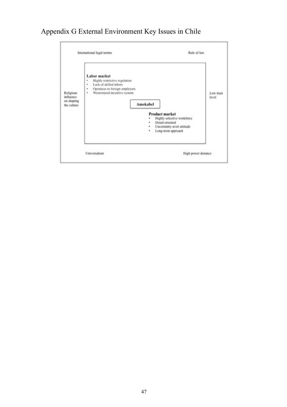# Appendix G External Environment Key Issues in Chile

|                                                      | Rule of law<br>International legal norms                                                                                                                                                                                                                                                                                   |                    |
|------------------------------------------------------|----------------------------------------------------------------------------------------------------------------------------------------------------------------------------------------------------------------------------------------------------------------------------------------------------------------------------|--------------------|
| Religious<br>influence<br>on shaping<br>the culture. | Labor market<br>Highly restrictive regulation<br>٠<br>Lack of skilled labors<br>٠<br>Openness to foreign employers<br>٠<br>Westernized incentive system<br>٠<br>Amokabel<br><b>Product market</b><br>Highly selective workforce<br>۰<br>Detail-oriented<br>۰<br>Uncertainty-avert attitude<br>۰<br>Long-term approach<br>۰ | Low trust<br>level |
|                                                      | Universalism<br>High power distance                                                                                                                                                                                                                                                                                        |                    |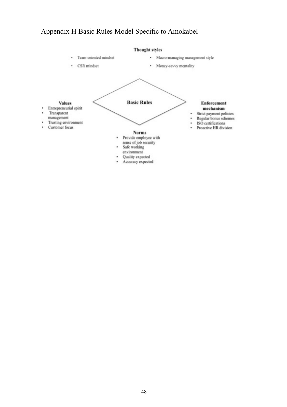# Appendix H Basic Rules Model Specific to Amokabel

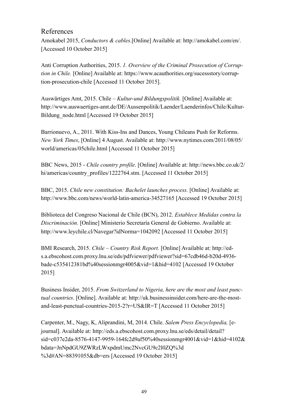#### References

Amokabel 2015, *Conductors & cables*.[Online] Available at: [http://amokabel.com/en/.](http://amokabel.com/en/) [Accessed 10 October 2015]

Anti Corruption Authorities, 2015. *1. Overview of the Criminal Prosecution of Corruption in Chile.* [Online] Available at: https://www.acauthorities.org/sucessstory/corruption-prosecution-chile [Accessed 11 October 2015].

Auswärtiges Amt, 2015. Chile – *Kultur-und Bildungspolitik.* [Online] Available at: http://www.auswaertiges-amt.de/DE/Aussenpolitik/Laender/Laenderinfos/Chile/Kultur-Bildung node.html [Accessed 19 October 2015]

Barrionuevo, A., 2011. With Kiss-Ins and Dances, Young Chileans Push for Reforms. *New York Times*, [Online] 4 August. Available at: http://www.nytimes.com/2011/08/05/ world/americas/05chile.html [Accessed 11 October 2015]

BBC News, 2015 - *Chile country profile*. [Online] Available at: http://news.bbc.co.uk/2/ [hi/americas/country\\_profiles/1222764.stm. \[Accessed 11 October 2015\]](http://news.bbc.co.uk/2/hi/americas/country_profiles/1222764.stm)

BBC, 2015. *Chile new constitution: Bachelet launches process.* [Online] Available at: http://www.bbc.com/news/world-latin-america-34527165 [Accessed 19 October 2015]

Biblioteca del Congreso Nacional de Chile (BCN), 2012. *Establece Medidas contra la Discriminación.* [Online] Ministerio Secretaría General de Gobierno. Available at: http://www.leychile.cl/Navegar?idNorma=1042092 [Accessed 11 October 2015]

BMI Research, 2015. *Chile – Country Risk Report.* [Online] Available at: http://eds.a.ebscohost.com.proxy.lnu.se/eds/pdfviewer/pdfviewer?sid=67cdb46d-b20d-4936 bade-c535412381bd%40sessionmgr4005&vid=1&hid=4102 [Accessed 19 October 2015]

Business Insider, 2015. *From Switzerland to Nigeria, here are the most and least punctual countries*. [Online]. Available at: http://uk.businessinsider.com/here-are-the-mostand-least-punctual-countries-2015-2?r=US&IR=T [Accessed 11 October 2015]

Carpenter, M., Nagy, K, Aliprandini, M, 2014. Chile. *Salem Press Encyclopedia,* [ejournal]. Available at: http://eds.a.ebscohost.com.proxy.lnu.se/eds/detail/detail? sid=c037e2da-8576-4147-9959-164fc2d9af50%40sessionmgr4001&vid=1&hid=4102& bdata=JnNpdGU9ZWRzLWxpdmUmc2NvcGU9c2l0ZQ%3d %3d#AN=88391055&db=ers [Accessed 19 October 2015]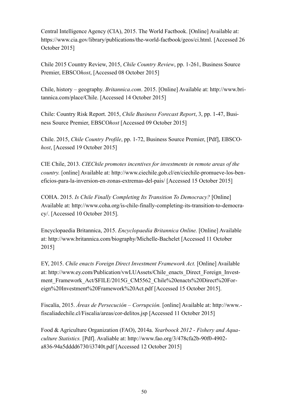Central Intelligence Agency (CIA), 2015. The World Factbook. [Online] Available at: <https://www.cia.gov/library/publications/the-world-factbook/geos/ci.html>. [Accessed 26 October 2015]

Chile 2015 Country Review, 2015, *Chile Country Review*, pp. 1-261, Business Source Premier, EBSCO*host*, [Accessed 08 October 2015]

Chile, history – geography. *Britannica.com*. 2015. [Online] Available at: http://www.britannica.com/place/Chile. [Accessed 14 October 2015]

Chile: Country Risk Report. 2015, *Chile Business Forecast Report*, 3, pp. 1-47, Business Source Premier, EBSCO*host* [Accessed 09 October 2015]

Chile. 2015, *Chile Country Profile*, pp. 1-72, Business Source Premier, [Pdf], EBSCO*host*, [Acessed 19 October 2015]

CIE Chile, 2013. *CIEChile promotes incentives for investments in remote areas of the country.* [online] Available at: http://www.ciechile.gob.cl/en/ciechile-promueve-los-beneficios-para-la-inversion-en-zonas-extremas-del-pais/ [Accessed 15 October 2015]

COHA. 2015. *Is Chile Finally Completing Its Transition To Democracy?* [Online] [Available at: http://www.coha.org/is-chile-finally-completing-its-transition-to-democra](http://www.coha.org/is-chile-finally-completing-its-transition-to-democracy/)cy/. [Accessed 10 October 2015].

Encyclopaedia Britannica, 2015. *Encyclopaedia Britannica Online.* [Online] Available at: http://www.britannica.com/biography/Michelle-Bachelet [Accessed 11 October 2015]

EY, 2015. *Chile enacts Foreign Direct Investment Framework Act.* [Online] Available at: http://www.ey.com/Publication/vwLUAssets/Chile\_enacts\_Direct\_Foreign\_Investment Framework Act/\$FILE/2015G CM5562 Chile%20enacts%20Direct%20Foreign%20Investment%20Framework%20Act.pdf [Accessed 15 October 2015].

Fiscalía, 2015. *Áreas de Persecución – Corrupción.* [online] Available at: http://www. fiscaliadechile.cl/Fiscalia/areas/cor-delitos.jsp [Accessed 11 October 2015]

Food & Agriculture Organization (FAO), 2014a. *Yearboock 2012 - Fishery and Aquaculture Statistics.* [Pdf]. Avaliable at: http://www.fao.org/3/478cfa2b-90f0-4902 a836-94a5dddd6730/i3740t.pdf [Accessed 12 October 2015]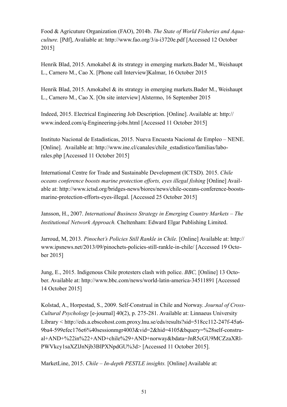Food & Agricuture Organization (FAO), 2014b. *The State of World Fisheries and Aquaculture.* [Pdf], Avaliable at: http://www.fao.org/3/a-i3720e.pdf [Accessed 12 October 2015]

Henrik Blad, 2015. Amokabel & its strategy in emerging markets. Bader M., Weishaupt L., Carnero M., Cao X. [Phone call Interview]Kalmar, 16 October 2015

Henrik Blad, 2015. Amokabel & its strategy in emerging markets.Bader M., Weishaupt L., Carnero M., Cao X. [On site interview] Alstermo, 16 September 2015

Indeed, 2015. Electrical Engineering Job Description. [Online]. Available at: http:// www.indeed.com/q-Engineering-jobs.html [Accessed 11 October 2015]

Instituto Nacional de Estadisticas, 2015. Nueva Encuesta Nacional de Empleo – NENE. [Online]. Available at: http://www.ine.cl/canales/chile\_estadistico/familias/laborales.php [Accessed 11 October 2015]

International Centre for Trade and Sustainable Development (ICTSD). 2015. *Chile oceans conference boosts marine protection efforts, eyes illegal fishing* [Online] Avail[able at: http://www.ictsd.org/bridges-news/biores/news/chile-oceans-conference-boosts](http://www.ictsd.org/bridges-news/biores/news/chile-oceans-conference-boosts-marine-protection-efforts-eyes-illegal)marine-protection-efforts-eyes-illegal. [Accessed 25 October 2015]

Jansson, H., 2007. *International Business Strategy in Emerging Country Markets – The Institutional Network Approach.* Cheltenham: Edward Elgar Publishing Limited.

Jarroud, M, 2013. *Pinochet's Policies Still Rankle in Chile.* [Online] Available at: http:// www.ipsnews.net/2013/09/pinochets-policies-still-rankle-in-chile/ [Accessed 19 October 2015]

Jung, E., 2015. Indigenous Chile protesters clash with police. *BBC,* [Online] 13 October. Available at: http://www.bbc.com/news/world-latin-america-34511891 [Accessed 14 October 2015]

Kolstad, A., Horpestad, S., 2009. Self-Construal in Chile and Norway. *Journal of Cross-Cultural Psychology* [e-journal] 40(2), p. 275-281. Available at: Linnaeus University Library < http://eds.a.ebscohost.com.proxy.lnu.se/eds/results?sid=518cc112-247f-45a6- 9ba4-599efec176e6%40sessionmgr4003&vid=2&hid=4105&bquery=%28self-construal+AND+%22in%22+AND+chile%29+AND+norway&bdata=JnR5cGU9MCZzaXRl-PWVkcy1saXZlJnNjb3BlPXNpdGU%3d> [Accessed 11 October 2015].

MarketLine, 2015. *Chile – In-depth PESTLE insights.* [Online] Available at: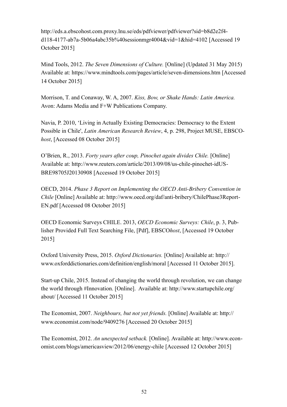http://eds.a.ebscohost.com.proxy.lnu.se/eds/pdfviewer/pdfviewer?sid=b8d2e2f4 d118-4177-ab7a-5b06a4abc35b%40sessionmgr4004&vid=1&hid=4102 [Accessed 19 October 2015]

Mind Tools, 2012. *The Seven Dimensions of Culture.* [Online] (Updated 31 May 2015) Available at: https://www.mindtools.com/pages/article/seven-dimensions.htm [Accessed 14 October 2015]

Morrison, T. and Conaway, W. A, 2007. *Kiss, Bow, or Shake Hands: Latin America.*  Avon: Adams Media and F+W Publications Company.

Navia, P. 2010, 'Living in Actually Existing Democracies: Democracy to the Extent Possible in Chile', *Latin American Research Review*, 4, p. 298, Project MUSE, EBSCO*host*, [Accessed 08 October 2015]

O'Brien, R., 2013. *Forty years after coup, Pinochet again divides Chile.* [Online] Available at: http://www.reuters.com/article/2013/09/08/us-chile-pinochet-idUS-BRE98705J20130908 [Accessed 19 October 2015]

OECD, 2014. *Phase 3 Report on Implementing the OECD Anti-Bribery Convention in Chile* [Online] Available at: http://www.oecd.org/daf/anti-bribery/ChilePhase3Report-EN.pdf [Accessed 08 October 2015]

OECD Economic Surveys CHILE. 2013, *OECD Economic Surveys: Chile*, p. 3, Publisher Provided Full Text Searching File, [Pdf], EBSCO*host*, [Accessed 19 October 2015]

Oxford University Press, 2015. *Oxford Dictionaries.* [Online] Available at: http:// www.oxforddictionaries.com/definition/english/moral [Accessed 11 October 2015].

Start-up Chile, 2015. Instead of changing the world through revolution, we can change the world through #Innovation. [Online]. Available at: http://www.startupchile.org/ about/ [Accessed 11 October 2015]

The Economist, 2007. *Neighbours, but not yet friends.* [Online] Available at: http:// www.economist.com/node/9409276 [Accessed 20 October 2015]

The Economist, 2012. *An unexpected setback.* [Online]. Available at: http://www.economist.com/blogs/americasview/2012/06/energy-chile [Accessed 12 October 2015]